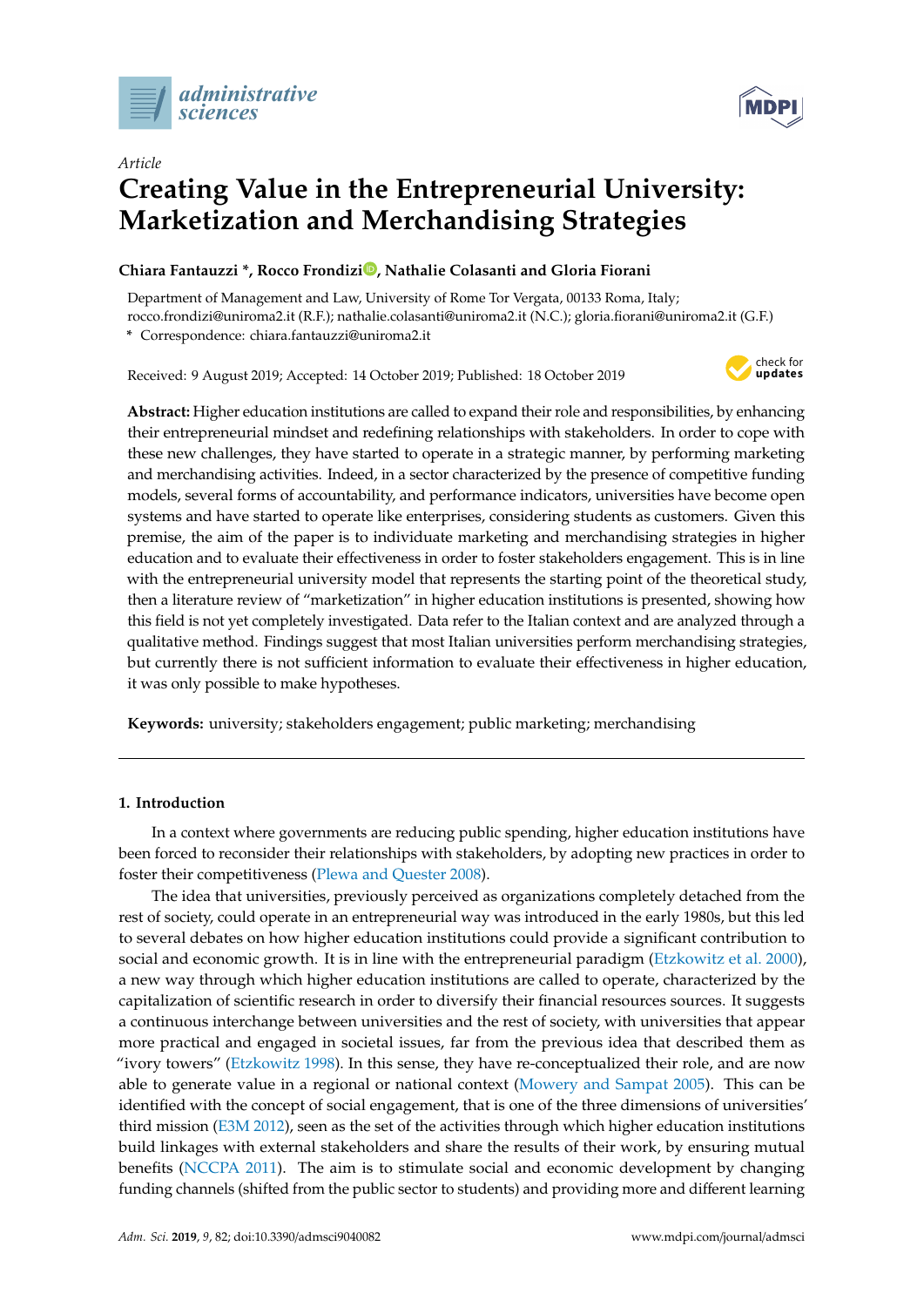



# *Article* **Creating Value in the Entrepreneurial University: Marketization and Merchandising Strategies**

# **Chiara Fantauzzi \*, Rocco Frondiz[i](https://orcid.org/0000-0002-9913-349X) , Nathalie Colasanti and Gloria Fiorani**

Department of Management and Law, University of Rome Tor Vergata, 00133 Roma, Italy; rocco.frondizi@uniroma2.it (R.F.); nathalie.colasanti@uniroma2.it (N.C.); gloria.fiorani@uniroma2.it (G.F.)

**\*** Correspondence: chiara.fantauzzi@uniroma2.it

Received: 9 August 2019; Accepted: 14 October 2019; Published: 18 October 2019



**Abstract:** Higher education institutions are called to expand their role and responsibilities, by enhancing their entrepreneurial mindset and redefining relationships with stakeholders. In order to cope with these new challenges, they have started to operate in a strategic manner, by performing marketing and merchandising activities. Indeed, in a sector characterized by the presence of competitive funding models, several forms of accountability, and performance indicators, universities have become open systems and have started to operate like enterprises, considering students as customers. Given this premise, the aim of the paper is to individuate marketing and merchandising strategies in higher education and to evaluate their effectiveness in order to foster stakeholders engagement. This is in line with the entrepreneurial university model that represents the starting point of the theoretical study, then a literature review of "marketization" in higher education institutions is presented, showing how this field is not yet completely investigated. Data refer to the Italian context and are analyzed through a qualitative method. Findings suggest that most Italian universities perform merchandising strategies, but currently there is not sufficient information to evaluate their effectiveness in higher education, it was only possible to make hypotheses.

**Keywords:** university; stakeholders engagement; public marketing; merchandising

# **1. Introduction**

In a context where governments are reducing public spending, higher education institutions have been forced to reconsider their relationships with stakeholders, by adopting new practices in order to foster their competitiveness [\(Plewa and Quester](#page-14-0) [2008\)](#page-14-0).

The idea that universities, previously perceived as organizations completely detached from the rest of society, could operate in an entrepreneurial way was introduced in the early 1980s, but this led to several debates on how higher education institutions could provide a significant contribution to social and economic growth. It is in line with the entrepreneurial paradigm [\(Etzkowitz et al.](#page-13-0) [2000\)](#page-13-0), a new way through which higher education institutions are called to operate, characterized by the capitalization of scientific research in order to diversify their financial resources sources. It suggests a continuous interchange between universities and the rest of society, with universities that appear more practical and engaged in societal issues, far from the previous idea that described them as "ivory towers" [\(Etzkowitz](#page-13-1) [1998\)](#page-13-1). In this sense, they have re-conceptualized their role, and are now able to generate value in a regional or national context [\(Mowery and Sampat](#page-14-1) [2005\)](#page-14-1). This can be identified with the concept of social engagement, that is one of the three dimensions of universities' third mission [\(E3M](#page-13-2) [2012\)](#page-13-2), seen as the set of the activities through which higher education institutions build linkages with external stakeholders and share the results of their work, by ensuring mutual benefits [\(NCCPA](#page-14-2) [2011\)](#page-14-2). The aim is to stimulate social and economic development by changing funding channels (shifted from the public sector to students) and providing more and different learning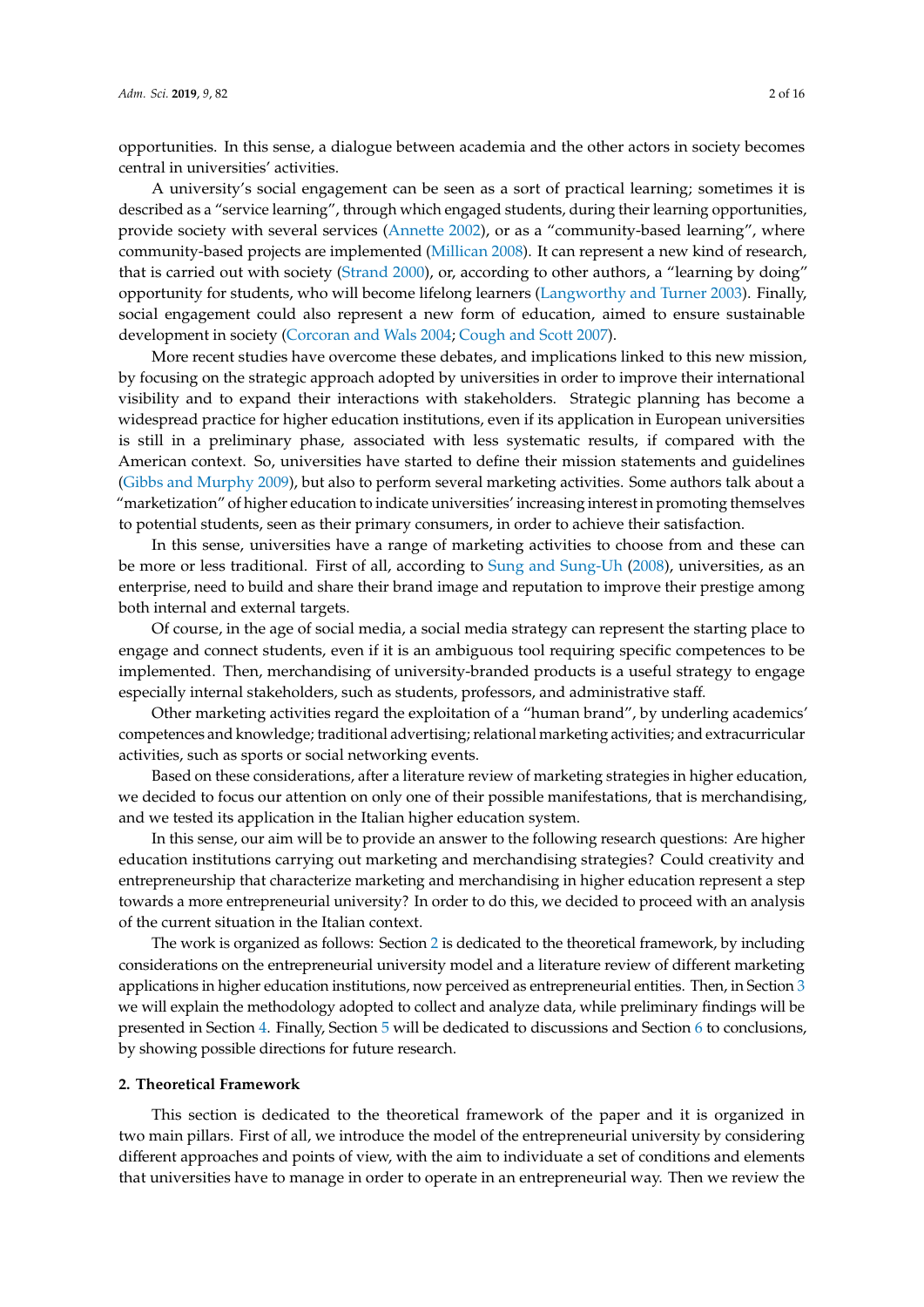opportunities. In this sense, a dialogue between academia and the other actors in society becomes central in universities' activities.

A university's social engagement can be seen as a sort of practical learning; sometimes it is described as a "service learning", through which engaged students, during their learning opportunities, provide society with several services [\(Annette](#page-12-0) [2002\)](#page-12-0), or as a "community-based learning", where community-based projects are implemented [\(Millican](#page-14-3) [2008\)](#page-14-3). It can represent a new kind of research, that is carried out with society [\(Strand](#page-15-0) [2000\)](#page-15-0), or, according to other authors, a "learning by doing" opportunity for students, who will become lifelong learners [\(Langworthy and Turner](#page-14-4) [2003\)](#page-14-4). Finally, social engagement could also represent a new form of education, aimed to ensure sustainable development in society [\(Corcoran and Wals](#page-13-3) [2004;](#page-13-3) [Cough and Scott](#page-13-4) [2007\)](#page-13-4).

More recent studies have overcome these debates, and implications linked to this new mission, by focusing on the strategic approach adopted by universities in order to improve their international visibility and to expand their interactions with stakeholders. Strategic planning has become a widespread practice for higher education institutions, even if its application in European universities is still in a preliminary phase, associated with less systematic results, if compared with the American context. So, universities have started to define their mission statements and guidelines [\(Gibbs and Murphy](#page-13-5) [2009\)](#page-13-5), but also to perform several marketing activities. Some authors talk about a "marketization" of higher education to indicate universities' increasing interest in promoting themselves to potential students, seen as their primary consumers, in order to achieve their satisfaction.

In this sense, universities have a range of marketing activities to choose from and these can be more or less traditional. First of all, according to [Sung and Sung-Uh](#page-15-1) [\(2008\)](#page-15-1), universities, as an enterprise, need to build and share their brand image and reputation to improve their prestige among both internal and external targets.

Of course, in the age of social media, a social media strategy can represent the starting place to engage and connect students, even if it is an ambiguous tool requiring specific competences to be implemented. Then, merchandising of university-branded products is a useful strategy to engage especially internal stakeholders, such as students, professors, and administrative staff.

Other marketing activities regard the exploitation of a "human brand", by underling academics' competences and knowledge; traditional advertising; relational marketing activities; and extracurricular activities, such as sports or social networking events.

Based on these considerations, after a literature review of marketing strategies in higher education, we decided to focus our attention on only one of their possible manifestations, that is merchandising, and we tested its application in the Italian higher education system.

In this sense, our aim will be to provide an answer to the following research questions: Are higher education institutions carrying out marketing and merchandising strategies? Could creativity and entrepreneurship that characterize marketing and merchandising in higher education represent a step towards a more entrepreneurial university? In order to do this, we decided to proceed with an analysis of the current situation in the Italian context.

The work is organized as follows: Section [2](#page-1-0) is dedicated to the theoretical framework, by including considerations on the entrepreneurial university model and a literature review of different marketing applications in higher education institutions, now perceived as entrepreneurial entities. Then, in Section [3](#page-6-0) we will explain the methodology adopted to collect and analyze data, while preliminary findings will be presented in Section [4.](#page-7-0) Finally, Section [5](#page-9-0) will be dedicated to discussions and Section [6](#page-10-0) to conclusions, by showing possible directions for future research.

## <span id="page-1-0"></span>**2. Theoretical Framework**

This section is dedicated to the theoretical framework of the paper and it is organized in two main pillars. First of all, we introduce the model of the entrepreneurial university by considering different approaches and points of view, with the aim to individuate a set of conditions and elements that universities have to manage in order to operate in an entrepreneurial way. Then we review the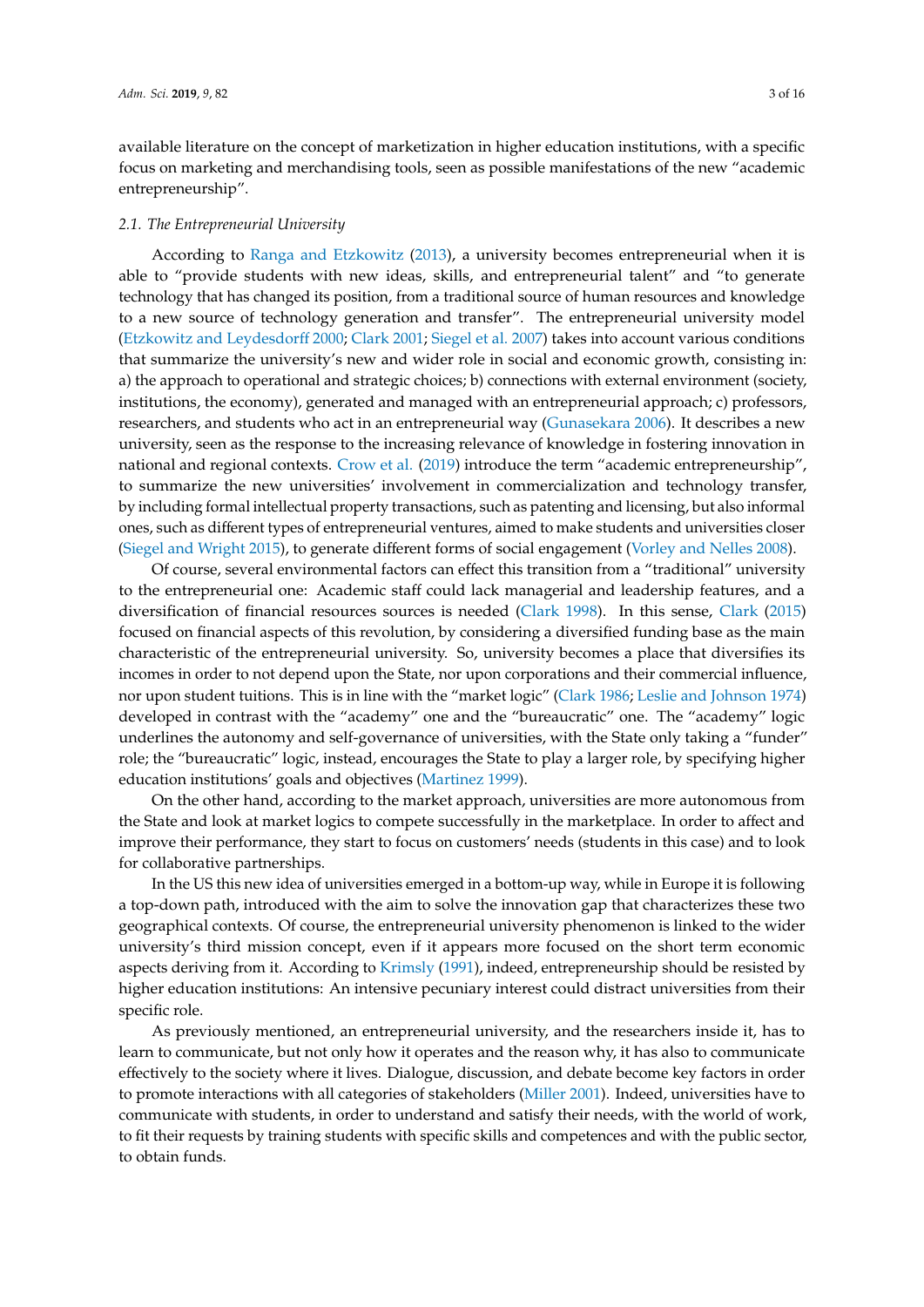available literature on the concept of marketization in higher education institutions, with a specific focus on marketing and merchandising tools, seen as possible manifestations of the new "academic entrepreneurship".

#### *2.1. The Entrepreneurial University*

According to [Ranga and Etzkowitz](#page-14-5) [\(2013\)](#page-14-5), a university becomes entrepreneurial when it is able to "provide students with new ideas, skills, and entrepreneurial talent" and "to generate technology that has changed its position, from a traditional source of human resources and knowledge to a new source of technology generation and transfer". The entrepreneurial university model [\(Etzkowitz and Leydesdor](#page-13-6)ff [2000;](#page-13-6) [Clark](#page-13-7) [2001;](#page-13-7) [Siegel et al.](#page-15-2) [2007\)](#page-15-2) takes into account various conditions that summarize the university's new and wider role in social and economic growth, consisting in: a) the approach to operational and strategic choices; b) connections with external environment (society, institutions, the economy), generated and managed with an entrepreneurial approach; c) professors, researchers, and students who act in an entrepreneurial way [\(Gunasekara](#page-13-8) [2006\)](#page-13-8). It describes a new university, seen as the response to the increasing relevance of knowledge in fostering innovation in national and regional contexts. [Crow et al.](#page-13-9) [\(2019\)](#page-13-9) introduce the term "academic entrepreneurship", to summarize the new universities' involvement in commercialization and technology transfer, by including formal intellectual property transactions, such as patenting and licensing, but also informal ones, such as different types of entrepreneurial ventures, aimed to make students and universities closer [\(Siegel and Wright](#page-15-3) [2015\)](#page-15-3), to generate different forms of social engagement [\(Vorley and Nelles](#page-15-4) [2008\)](#page-15-4).

Of course, several environmental factors can effect this transition from a "traditional" university to the entrepreneurial one: Academic staff could lack managerial and leadership features, and a diversification of financial resources sources is needed [\(Clark](#page-12-1) [1998\)](#page-12-1). In this sense, [Clark](#page-13-10) [\(2015\)](#page-13-10) focused on financial aspects of this revolution, by considering a diversified funding base as the main characteristic of the entrepreneurial university. So, university becomes a place that diversifies its incomes in order to not depend upon the State, nor upon corporations and their commercial influence, nor upon student tuitions. This is in line with the "market logic" [\(Clark](#page-12-2) [1986;](#page-12-2) [Leslie and Johnson](#page-14-6) [1974\)](#page-14-6) developed in contrast with the "academy" one and the "bureaucratic" one. The "academy" logic underlines the autonomy and self-governance of universities, with the State only taking a "funder" role; the "bureaucratic" logic, instead, encourages the State to play a larger role, by specifying higher education institutions' goals and objectives [\(Martinez](#page-14-7) [1999\)](#page-14-7).

On the other hand, according to the market approach, universities are more autonomous from the State and look at market logics to compete successfully in the marketplace. In order to affect and improve their performance, they start to focus on customers' needs (students in this case) and to look for collaborative partnerships.

In the US this new idea of universities emerged in a bottom-up way, while in Europe it is following a top-down path, introduced with the aim to solve the innovation gap that characterizes these two geographical contexts. Of course, the entrepreneurial university phenomenon is linked to the wider university's third mission concept, even if it appears more focused on the short term economic aspects deriving from it. According to [Krimsly](#page-14-8) [\(1991\)](#page-14-8), indeed, entrepreneurship should be resisted by higher education institutions: An intensive pecuniary interest could distract universities from their specific role.

As previously mentioned, an entrepreneurial university, and the researchers inside it, has to learn to communicate, but not only how it operates and the reason why, it has also to communicate effectively to the society where it lives. Dialogue, discussion, and debate become key factors in order to promote interactions with all categories of stakeholders [\(Miller](#page-14-9) [2001\)](#page-14-9). Indeed, universities have to communicate with students, in order to understand and satisfy their needs, with the world of work, to fit their requests by training students with specific skills and competences and with the public sector, to obtain funds.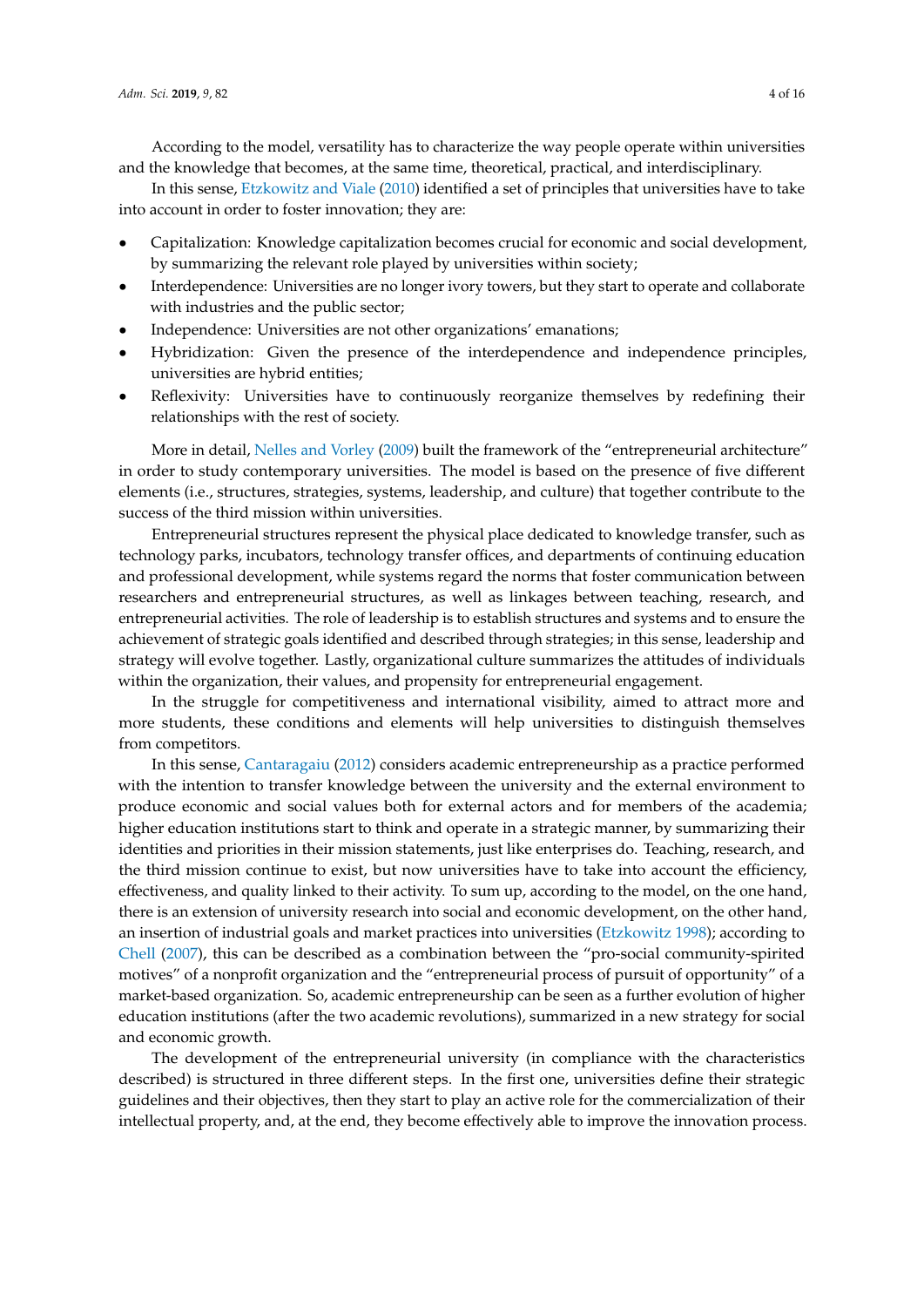According to the model, versatility has to characterize the way people operate within universities and the knowledge that becomes, at the same time, theoretical, practical, and interdisciplinary.

In this sense, [Etzkowitz and Viale](#page-13-11) [\(2010\)](#page-13-11) identified a set of principles that universities have to take into account in order to foster innovation; they are:

- Capitalization: Knowledge capitalization becomes crucial for economic and social development, by summarizing the relevant role played by universities within society;
- Interdependence: Universities are no longer ivory towers, but they start to operate and collaborate with industries and the public sector;
- Independence: Universities are not other organizations' emanations;
- Hybridization: Given the presence of the interdependence and independence principles, universities are hybrid entities;
- Reflexivity: Universities have to continuously reorganize themselves by redefining their relationships with the rest of society.

More in detail, [Nelles and Vorley](#page-14-10) [\(2009\)](#page-14-10) built the framework of the "entrepreneurial architecture" in order to study contemporary universities. The model is based on the presence of five different elements (i.e., structures, strategies, systems, leadership, and culture) that together contribute to the success of the third mission within universities.

Entrepreneurial structures represent the physical place dedicated to knowledge transfer, such as technology parks, incubators, technology transfer offices, and departments of continuing education and professional development, while systems regard the norms that foster communication between researchers and entrepreneurial structures, as well as linkages between teaching, research, and entrepreneurial activities. The role of leadership is to establish structures and systems and to ensure the achievement of strategic goals identified and described through strategies; in this sense, leadership and strategy will evolve together. Lastly, organizational culture summarizes the attitudes of individuals within the organization, their values, and propensity for entrepreneurial engagement.

In the struggle for competitiveness and international visibility, aimed to attract more and more students, these conditions and elements will help universities to distinguish themselves from competitors.

In this sense, [Cantaragaiu](#page-12-3) [\(2012\)](#page-12-3) considers academic entrepreneurship as a practice performed with the intention to transfer knowledge between the university and the external environment to produce economic and social values both for external actors and for members of the academia; higher education institutions start to think and operate in a strategic manner, by summarizing their identities and priorities in their mission statements, just like enterprises do. Teaching, research, and the third mission continue to exist, but now universities have to take into account the efficiency, effectiveness, and quality linked to their activity. To sum up, according to the model, on the one hand, there is an extension of university research into social and economic development, on the other hand, an insertion of industrial goals and market practices into universities [\(Etzkowitz](#page-13-1) [1998\)](#page-13-1); according to [Chell](#page-12-4) [\(2007\)](#page-12-4), this can be described as a combination between the "pro-social community-spirited motives" of a nonprofit organization and the "entrepreneurial process of pursuit of opportunity" of a market-based organization. So, academic entrepreneurship can be seen as a further evolution of higher education institutions (after the two academic revolutions), summarized in a new strategy for social and economic growth.

The development of the entrepreneurial university (in compliance with the characteristics described) is structured in three different steps. In the first one, universities define their strategic guidelines and their objectives, then they start to play an active role for the commercialization of their intellectual property, and, at the end, they become effectively able to improve the innovation process.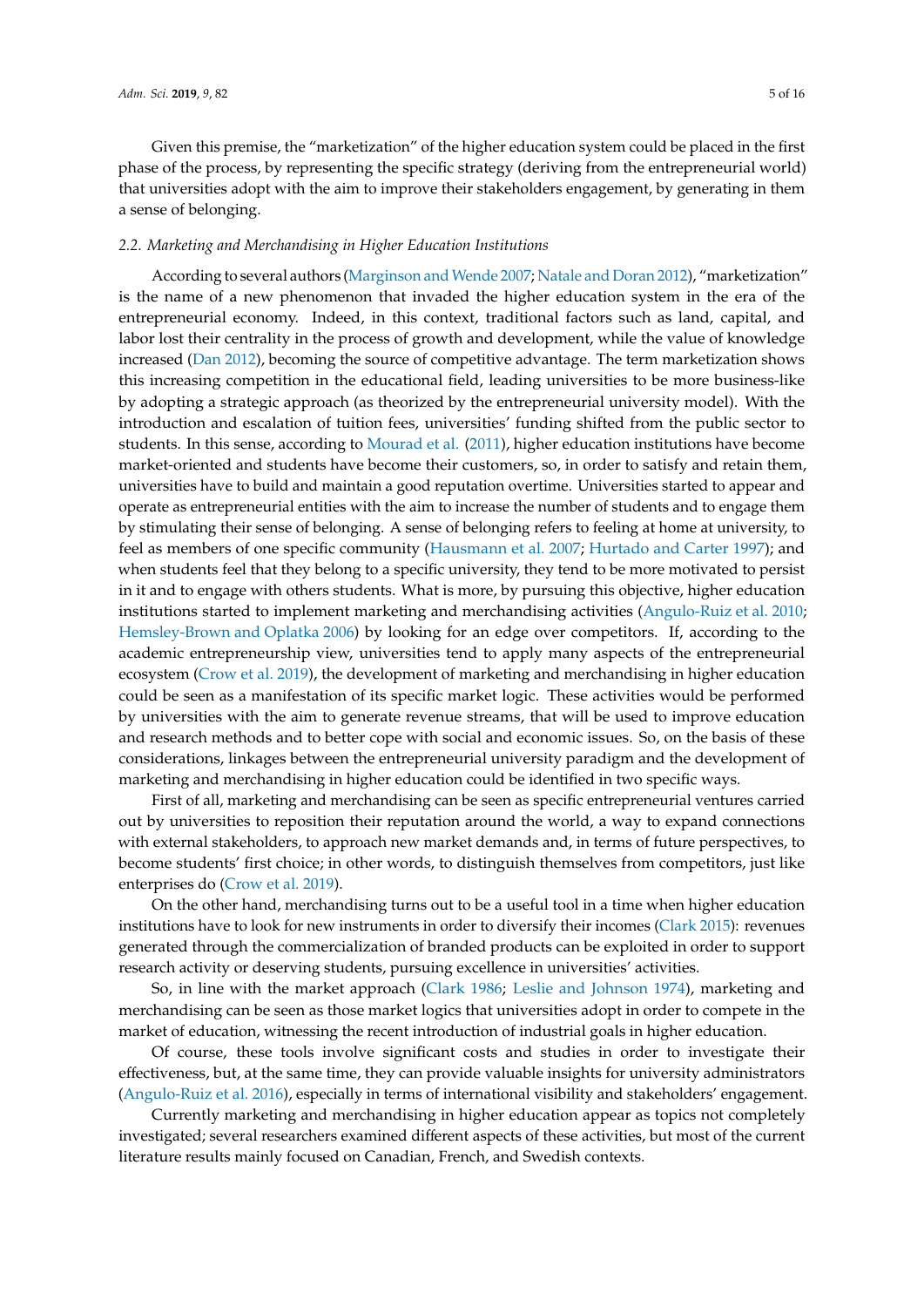Given this premise, the "marketization" of the higher education system could be placed in the first phase of the process, by representing the specific strategy (deriving from the entrepreneurial world) that universities adopt with the aim to improve their stakeholders engagement, by generating in them a sense of belonging.

## *2.2. Marketing and Merchandising in Higher Education Institutions*

According to several authors (Marginson and Wende [2007;](#page-14-11) [Natale and Doran](#page-14-12) [2012\)](#page-14-12), "marketization" is the name of a new phenomenon that invaded the higher education system in the era of the entrepreneurial economy. Indeed, in this context, traditional factors such as land, capital, and labor lost their centrality in the process of growth and development, while the value of knowledge increased [\(Dan](#page-13-12) [2012\)](#page-13-12), becoming the source of competitive advantage. The term marketization shows this increasing competition in the educational field, leading universities to be more business-like by adopting a strategic approach (as theorized by the entrepreneurial university model). With the introduction and escalation of tuition fees, universities' funding shifted from the public sector to students. In this sense, according to [Mourad et al.](#page-14-13) [\(2011\)](#page-14-13), higher education institutions have become market-oriented and students have become their customers, so, in order to satisfy and retain them, universities have to build and maintain a good reputation overtime. Universities started to appear and operate as entrepreneurial entities with the aim to increase the number of students and to engage them by stimulating their sense of belonging. A sense of belonging refers to feeling at home at university, to feel as members of one specific community [\(Hausmann et al.](#page-13-13) [2007;](#page-13-13) [Hurtado and Carter](#page-13-14) [1997\)](#page-13-14); and when students feel that they belong to a specific university, they tend to be more motivated to persist in it and to engage with others students. What is more, by pursuing this objective, higher education institutions started to implement marketing and merchandising activities [\(Angulo-Ruiz et al.](#page-12-5) [2010;](#page-12-5) [Hemsley-Brown and Oplatka](#page-13-15) [2006\)](#page-13-15) by looking for an edge over competitors. If, according to the academic entrepreneurship view, universities tend to apply many aspects of the entrepreneurial ecosystem [\(Crow et al.](#page-13-9) [2019\)](#page-13-9), the development of marketing and merchandising in higher education could be seen as a manifestation of its specific market logic. These activities would be performed by universities with the aim to generate revenue streams, that will be used to improve education and research methods and to better cope with social and economic issues. So, on the basis of these considerations, linkages between the entrepreneurial university paradigm and the development of marketing and merchandising in higher education could be identified in two specific ways.

First of all, marketing and merchandising can be seen as specific entrepreneurial ventures carried out by universities to reposition their reputation around the world, a way to expand connections with external stakeholders, to approach new market demands and, in terms of future perspectives, to become students' first choice; in other words, to distinguish themselves from competitors, just like enterprises do [\(Crow et al.](#page-13-9) [2019\)](#page-13-9).

On the other hand, merchandising turns out to be a useful tool in a time when higher education institutions have to look for new instruments in order to diversify their incomes [\(Clark](#page-13-10) [2015\)](#page-13-10): revenues generated through the commercialization of branded products can be exploited in order to support research activity or deserving students, pursuing excellence in universities' activities.

So, in line with the market approach [\(Clark](#page-12-2) [1986;](#page-12-2) [Leslie and Johnson](#page-14-6) [1974\)](#page-14-6), marketing and merchandising can be seen as those market logics that universities adopt in order to compete in the market of education, witnessing the recent introduction of industrial goals in higher education.

Of course, these tools involve significant costs and studies in order to investigate their effectiveness, but, at the same time, they can provide valuable insights for university administrators [\(Angulo-Ruiz et al.](#page-12-6) [2016\)](#page-12-6), especially in terms of international visibility and stakeholders' engagement.

Currently marketing and merchandising in higher education appear as topics not completely investigated; several researchers examined different aspects of these activities, but most of the current literature results mainly focused on Canadian, French, and Swedish contexts.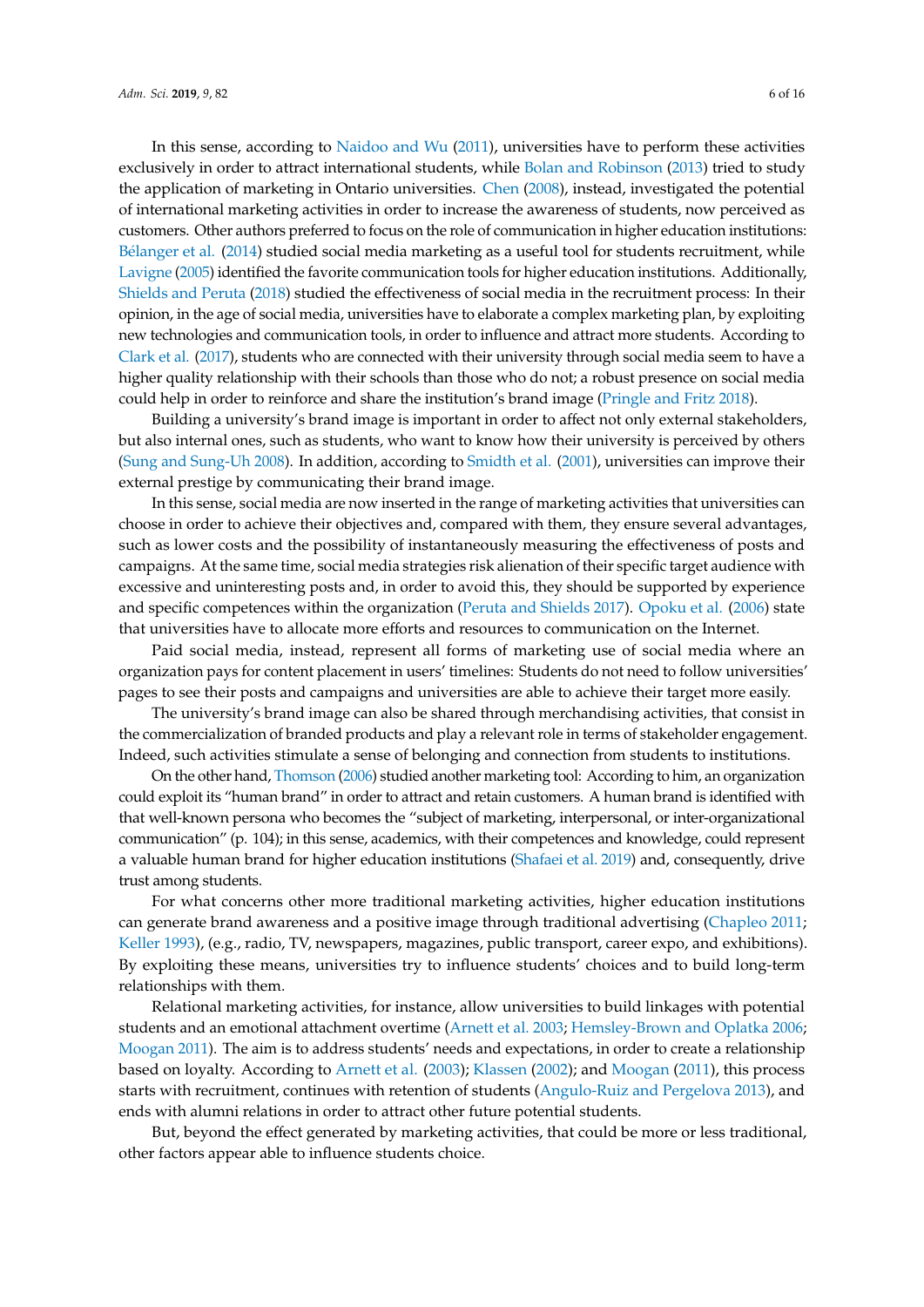In this sense, according to [Naidoo and Wu](#page-14-14) [\(2011\)](#page-14-14), universities have to perform these activities exclusively in order to attract international students, while [Bolan and Robinson](#page-12-7) [\(2013\)](#page-12-7) tried to study the application of marketing in Ontario universities. [Chen](#page-12-8) [\(2008\)](#page-12-8), instead, investigated the potential of international marketing activities in order to increase the awareness of students, now perceived as customers. Other authors preferred to focus on the role of communication in higher education institutions: Bé[langer et al.](#page-12-9) [\(2014\)](#page-12-9) studied social media marketing as a useful tool for students recruitment, while [Lavigne](#page-14-15) [\(2005\)](#page-14-15) identified the favorite communication tools for higher education institutions. Additionally, [Shields and Peruta](#page-15-5) [\(2018\)](#page-15-5) studied the effectiveness of social media in the recruitment process: In their opinion, in the age of social media, universities have to elaborate a complex marketing plan, by exploiting new technologies and communication tools, in order to influence and attract more students. According to [Clark et al.](#page-13-16) [\(2017\)](#page-13-16), students who are connected with their university through social media seem to have a higher quality relationship with their schools than those who do not; a robust presence on social media could help in order to reinforce and share the institution's brand image [\(Pringle and Fritz](#page-14-16) [2018\)](#page-14-16).

Building a university's brand image is important in order to affect not only external stakeholders, but also internal ones, such as students, who want to know how their university is perceived by others [\(Sung and Sung-Uh](#page-15-1) [2008\)](#page-15-1). In addition, according to [Smidth et al.](#page-15-6) [\(2001\)](#page-15-6), universities can improve their external prestige by communicating their brand image.

In this sense, social media are now inserted in the range of marketing activities that universities can choose in order to achieve their objectives and, compared with them, they ensure several advantages, such as lower costs and the possibility of instantaneously measuring the effectiveness of posts and campaigns. At the same time, social media strategies risk alienation of their specific target audience with excessive and uninteresting posts and, in order to avoid this, they should be supported by experience and specific competences within the organization [\(Peruta and Shields](#page-14-17) [2017\)](#page-14-17). [Opoku et al.](#page-14-18) [\(2006\)](#page-14-18) state that universities have to allocate more efforts and resources to communication on the Internet.

Paid social media, instead, represent all forms of marketing use of social media where an organization pays for content placement in users' timelines: Students do not need to follow universities' pages to see their posts and campaigns and universities are able to achieve their target more easily.

The university's brand image can also be shared through merchandising activities, that consist in the commercialization of branded products and play a relevant role in terms of stakeholder engagement. Indeed, such activities stimulate a sense of belonging and connection from students to institutions.

On the other hand, [Thomson](#page-15-7) [\(2006\)](#page-15-7) studied another marketing tool: According to him, an organization could exploit its "human brand" in order to attract and retain customers. A human brand is identified with that well-known persona who becomes the "subject of marketing, interpersonal, or inter-organizational communication" (p. 104); in this sense, academics, with their competences and knowledge, could represent a valuable human brand for higher education institutions [\(Shafaei et al.](#page-15-8) [2019\)](#page-15-8) and, consequently, drive trust among students.

For what concerns other more traditional marketing activities, higher education institutions can generate brand awareness and a positive image through traditional advertising [\(Chapleo](#page-12-10) [2011;](#page-12-10) [Keller](#page-14-19) [1993\)](#page-14-19), (e.g., radio, TV, newspapers, magazines, public transport, career expo, and exhibitions). By exploiting these means, universities try to influence students' choices and to build long-term relationships with them.

Relational marketing activities, for instance, allow universities to build linkages with potential students and an emotional attachment overtime [\(Arnett et al.](#page-12-11) [2003;](#page-12-11) [Hemsley-Brown and Oplatka](#page-13-15) [2006;](#page-13-15) [Moogan](#page-14-20) [2011\)](#page-14-20). The aim is to address students' needs and expectations, in order to create a relationship based on loyalty. According to [Arnett et al.](#page-12-11) [\(2003\)](#page-12-11); [Klassen](#page-14-21) [\(2002\)](#page-14-21); and [Moogan](#page-14-20) [\(2011\)](#page-14-20), this process starts with recruitment, continues with retention of students [\(Angulo-Ruiz and Pergelova](#page-12-12) [2013\)](#page-12-12), and ends with alumni relations in order to attract other future potential students.

But, beyond the effect generated by marketing activities, that could be more or less traditional, other factors appear able to influence students choice.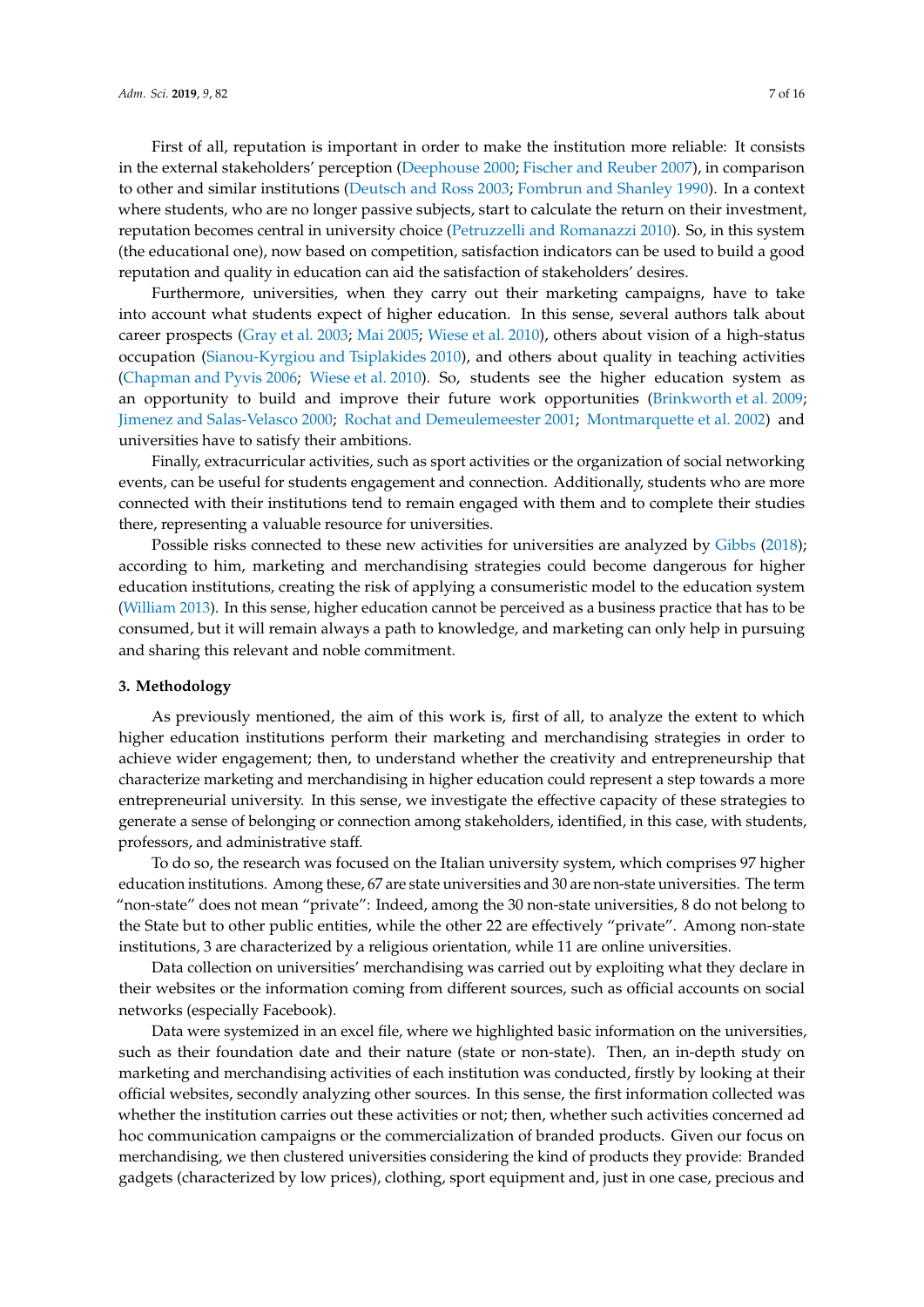First of all, reputation is important in order to make the institution more reliable: It consists in the external stakeholders' perception [\(Deephouse](#page-13-17) [2000;](#page-13-17) [Fischer and Reuber](#page-13-18) [2007\)](#page-13-18), in comparison to other and similar institutions [\(Deutsch and Ross](#page-13-19) [2003;](#page-13-19) [Fombrun and Shanley](#page-13-20) [1990\)](#page-13-20). In a context where students, who are no longer passive subjects, start to calculate the return on their investment, reputation becomes central in university choice [\(Petruzzelli and Romanazzi](#page-14-22) [2010\)](#page-14-22). So, in this system (the educational one), now based on competition, satisfaction indicators can be used to build a good reputation and quality in education can aid the satisfaction of stakeholders' desires.

Furthermore, universities, when they carry out their marketing campaigns, have to take into account what students expect of higher education. In this sense, several authors talk about career prospects [\(Gray et al.](#page-13-21) [2003;](#page-13-21) [Mai](#page-14-23) [2005;](#page-14-23) [Wiese et al.](#page-15-9) [2010\)](#page-15-9), others about vision of a high-status occupation [\(Sianou-Kyrgiou and Tsiplakides](#page-15-10) [2010\)](#page-15-10), and others about quality in teaching activities [\(Chapman and Pyvis](#page-12-13) [2006;](#page-12-13) [Wiese et al.](#page-15-9) [2010\)](#page-15-9). So, students see the higher education system as an opportunity to build and improve their future work opportunities [\(Brinkworth et al.](#page-12-14) [2009;](#page-12-14) [Jimenez and Salas-Velasco](#page-13-22) [2000;](#page-13-22) [Rochat and Demeulemeester](#page-15-11) [2001;](#page-15-11) [Montmarquette et al.](#page-14-24) [2002\)](#page-14-24) and universities have to satisfy their ambitions.

Finally, extracurricular activities, such as sport activities or the organization of social networking events, can be useful for students engagement and connection. Additionally, students who are more connected with their institutions tend to remain engaged with them and to complete their studies there, representing a valuable resource for universities.

Possible risks connected to these new activities for universities are analyzed by [Gibbs](#page-13-23) [\(2018\)](#page-13-23); according to him, marketing and merchandising strategies could become dangerous for higher education institutions, creating the risk of applying a consumeristic model to the education system [\(William](#page-15-12) [2013\)](#page-15-12). In this sense, higher education cannot be perceived as a business practice that has to be consumed, but it will remain always a path to knowledge, and marketing can only help in pursuing and sharing this relevant and noble commitment.

# <span id="page-6-0"></span>**3. Methodology**

As previously mentioned, the aim of this work is, first of all, to analyze the extent to which higher education institutions perform their marketing and merchandising strategies in order to achieve wider engagement; then, to understand whether the creativity and entrepreneurship that characterize marketing and merchandising in higher education could represent a step towards a more entrepreneurial university. In this sense, we investigate the effective capacity of these strategies to generate a sense of belonging or connection among stakeholders, identified, in this case, with students, professors, and administrative staff.

To do so, the research was focused on the Italian university system, which comprises 97 higher education institutions. Among these, 67 are state universities and 30 are non-state universities. The term "non-state" does not mean "private": Indeed, among the 30 non-state universities, 8 do not belong to the State but to other public entities, while the other 22 are effectively "private". Among non-state institutions, 3 are characterized by a religious orientation, while 11 are online universities.

Data collection on universities' merchandising was carried out by exploiting what they declare in their websites or the information coming from different sources, such as official accounts on social networks (especially Facebook).

Data were systemized in an excel file, where we highlighted basic information on the universities, such as their foundation date and their nature (state or non-state). Then, an in-depth study on marketing and merchandising activities of each institution was conducted, firstly by looking at their official websites, secondly analyzing other sources. In this sense, the first information collected was whether the institution carries out these activities or not; then, whether such activities concerned ad hoc communication campaigns or the commercialization of branded products. Given our focus on merchandising, we then clustered universities considering the kind of products they provide: Branded gadgets (characterized by low prices), clothing, sport equipment and, just in one case, precious and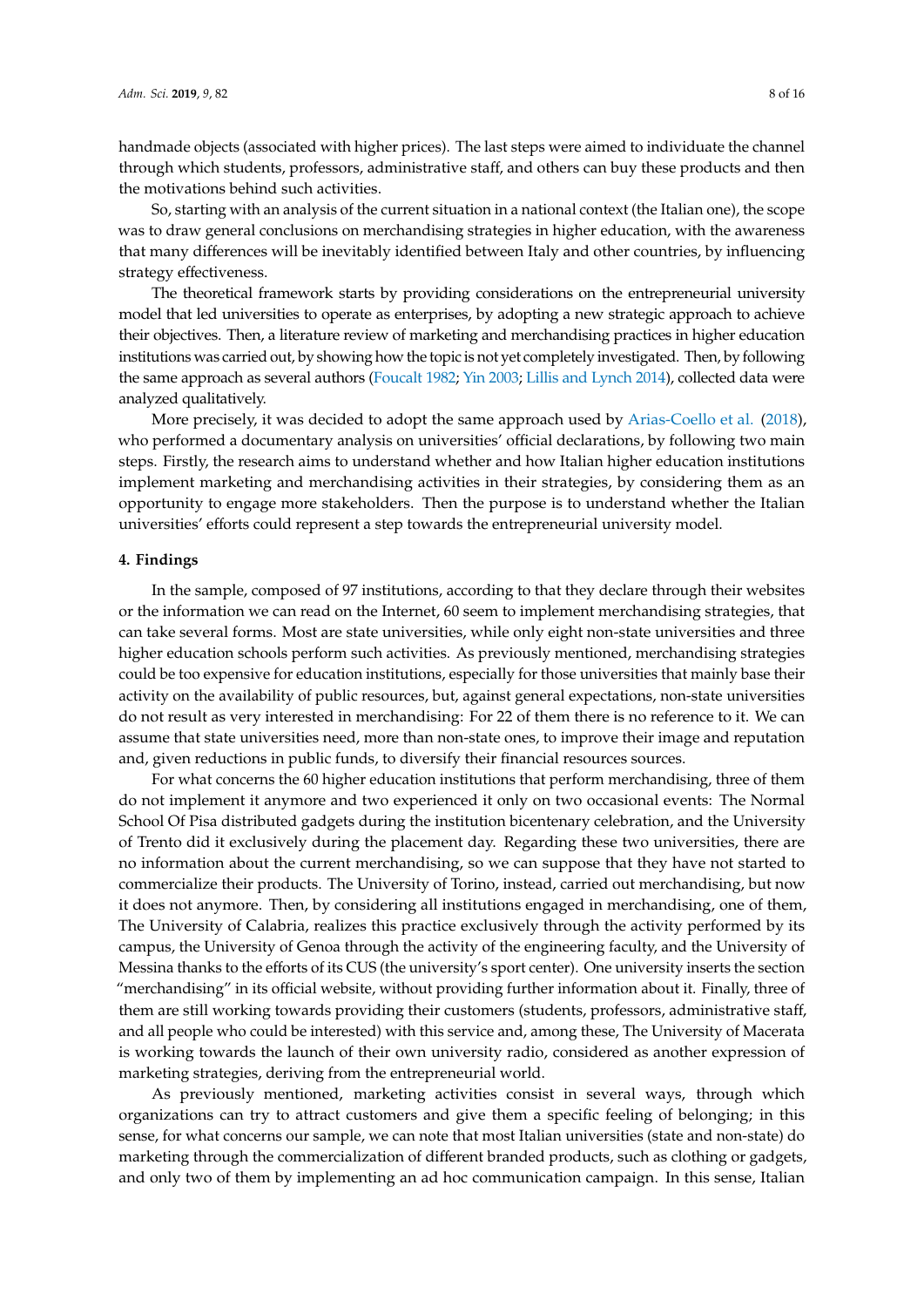handmade objects (associated with higher prices). The last steps were aimed to individuate the channel through which students, professors, administrative staff, and others can buy these products and then the motivations behind such activities.

So, starting with an analysis of the current situation in a national context (the Italian one), the scope was to draw general conclusions on merchandising strategies in higher education, with the awareness that many differences will be inevitably identified between Italy and other countries, by influencing strategy effectiveness.

The theoretical framework starts by providing considerations on the entrepreneurial university model that led universities to operate as enterprises, by adopting a new strategic approach to achieve their objectives. Then, a literature review of marketing and merchandising practices in higher education institutions was carried out, by showing how the topic is not yet completely investigated. Then, by following the same approach as several authors [\(Foucalt](#page-13-24) [1982;](#page-13-24) [Yin](#page-15-13) [2003;](#page-15-13) [Lillis and Lynch](#page-14-25) [2014\)](#page-14-25), collected data were analyzed qualitatively.

More precisely, it was decided to adopt the same approach used by [Arias-Coello et al.](#page-12-15) [\(2018\)](#page-12-15), who performed a documentary analysis on universities' official declarations, by following two main steps. Firstly, the research aims to understand whether and how Italian higher education institutions implement marketing and merchandising activities in their strategies, by considering them as an opportunity to engage more stakeholders. Then the purpose is to understand whether the Italian universities' efforts could represent a step towards the entrepreneurial university model.

#### <span id="page-7-0"></span>**4. Findings**

In the sample, composed of 97 institutions, according to that they declare through their websites or the information we can read on the Internet, 60 seem to implement merchandising strategies, that can take several forms. Most are state universities, while only eight non-state universities and three higher education schools perform such activities. As previously mentioned, merchandising strategies could be too expensive for education institutions, especially for those universities that mainly base their activity on the availability of public resources, but, against general expectations, non-state universities do not result as very interested in merchandising: For 22 of them there is no reference to it. We can assume that state universities need, more than non-state ones, to improve their image and reputation and, given reductions in public funds, to diversify their financial resources sources.

For what concerns the 60 higher education institutions that perform merchandising, three of them do not implement it anymore and two experienced it only on two occasional events: The Normal School Of Pisa distributed gadgets during the institution bicentenary celebration, and the University of Trento did it exclusively during the placement day. Regarding these two universities, there are no information about the current merchandising, so we can suppose that they have not started to commercialize their products. The University of Torino, instead, carried out merchandising, but now it does not anymore. Then, by considering all institutions engaged in merchandising, one of them, The University of Calabria, realizes this practice exclusively through the activity performed by its campus, the University of Genoa through the activity of the engineering faculty, and the University of Messina thanks to the efforts of its CUS (the university's sport center). One university inserts the section "merchandising" in its official website, without providing further information about it. Finally, three of them are still working towards providing their customers (students, professors, administrative staff, and all people who could be interested) with this service and, among these, The University of Macerata is working towards the launch of their own university radio, considered as another expression of marketing strategies, deriving from the entrepreneurial world.

As previously mentioned, marketing activities consist in several ways, through which organizations can try to attract customers and give them a specific feeling of belonging; in this sense, for what concerns our sample, we can note that most Italian universities (state and non-state) do marketing through the commercialization of different branded products, such as clothing or gadgets, and only two of them by implementing an ad hoc communication campaign. In this sense, Italian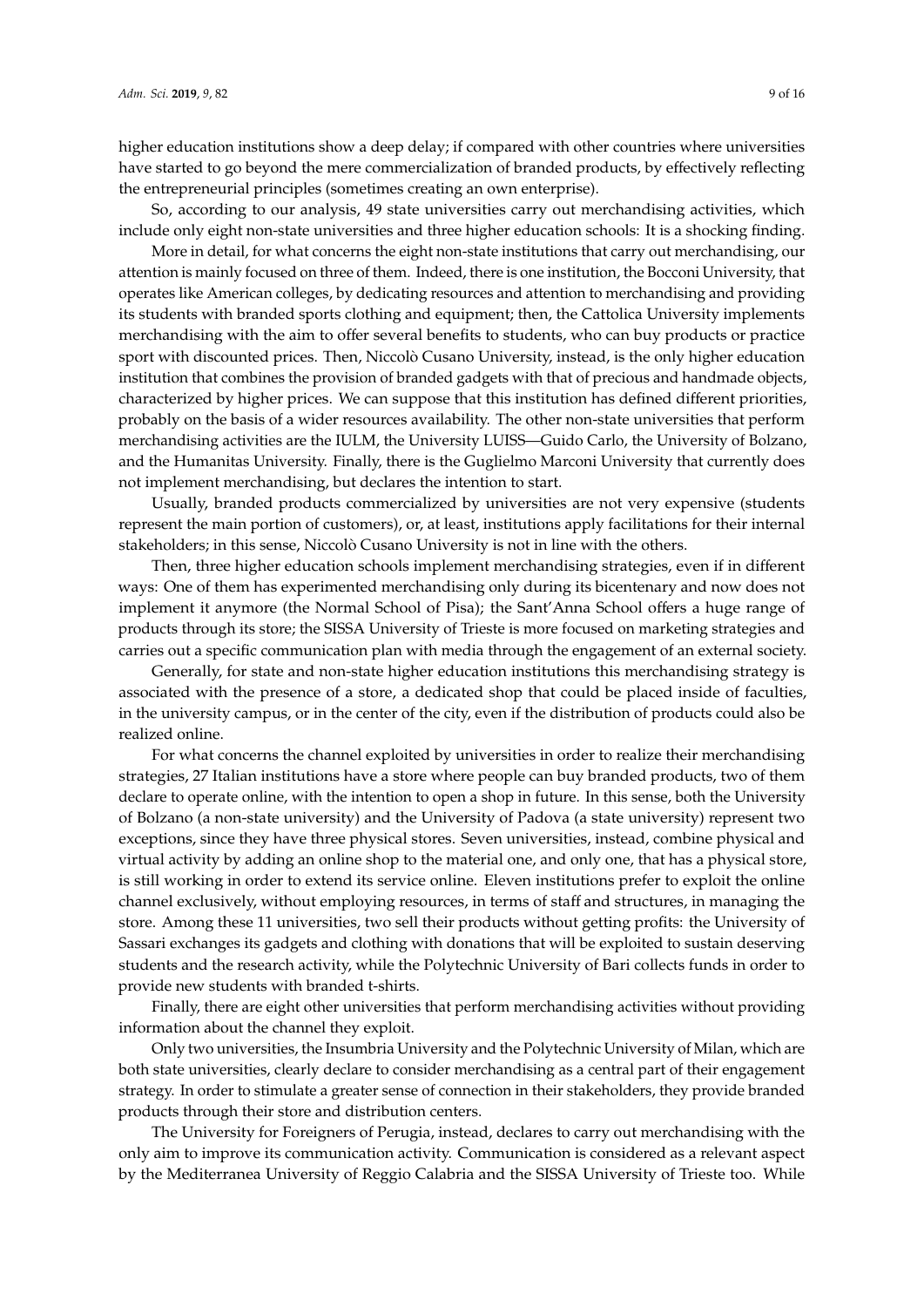higher education institutions show a deep delay; if compared with other countries where universities have started to go beyond the mere commercialization of branded products, by effectively reflecting the entrepreneurial principles (sometimes creating an own enterprise).

So, according to our analysis, 49 state universities carry out merchandising activities, which include only eight non-state universities and three higher education schools: It is a shocking finding.

More in detail, for what concerns the eight non-state institutions that carry out merchandising, our attention is mainly focused on three of them. Indeed, there is one institution, the Bocconi University, that operates like American colleges, by dedicating resources and attention to merchandising and providing its students with branded sports clothing and equipment; then, the Cattolica University implements merchandising with the aim to offer several benefits to students, who can buy products or practice sport with discounted prices. Then, Niccolò Cusano University, instead, is the only higher education institution that combines the provision of branded gadgets with that of precious and handmade objects, characterized by higher prices. We can suppose that this institution has defined different priorities, probably on the basis of a wider resources availability. The other non-state universities that perform merchandising activities are the IULM, the University LUISS—Guido Carlo, the University of Bolzano, and the Humanitas University. Finally, there is the Guglielmo Marconi University that currently does not implement merchandising, but declares the intention to start.

Usually, branded products commercialized by universities are not very expensive (students represent the main portion of customers), or, at least, institutions apply facilitations for their internal stakeholders; in this sense, Niccolò Cusano University is not in line with the others.

Then, three higher education schools implement merchandising strategies, even if in different ways: One of them has experimented merchandising only during its bicentenary and now does not implement it anymore (the Normal School of Pisa); the Sant'Anna School offers a huge range of products through its store; the SISSA University of Trieste is more focused on marketing strategies and carries out a specific communication plan with media through the engagement of an external society.

Generally, for state and non-state higher education institutions this merchandising strategy is associated with the presence of a store, a dedicated shop that could be placed inside of faculties, in the university campus, or in the center of the city, even if the distribution of products could also be realized online.

For what concerns the channel exploited by universities in order to realize their merchandising strategies, 27 Italian institutions have a store where people can buy branded products, two of them declare to operate online, with the intention to open a shop in future. In this sense, both the University of Bolzano (a non-state university) and the University of Padova (a state university) represent two exceptions, since they have three physical stores. Seven universities, instead, combine physical and virtual activity by adding an online shop to the material one, and only one, that has a physical store, is still working in order to extend its service online. Eleven institutions prefer to exploit the online channel exclusively, without employing resources, in terms of staff and structures, in managing the store. Among these 11 universities, two sell their products without getting profits: the University of Sassari exchanges its gadgets and clothing with donations that will be exploited to sustain deserving students and the research activity, while the Polytechnic University of Bari collects funds in order to provide new students with branded t-shirts.

Finally, there are eight other universities that perform merchandising activities without providing information about the channel they exploit.

Only two universities, the Insumbria University and the Polytechnic University of Milan, which are both state universities, clearly declare to consider merchandising as a central part of their engagement strategy. In order to stimulate a greater sense of connection in their stakeholders, they provide branded products through their store and distribution centers.

The University for Foreigners of Perugia, instead, declares to carry out merchandising with the only aim to improve its communication activity. Communication is considered as a relevant aspect by the Mediterranea University of Reggio Calabria and the SISSA University of Trieste too. While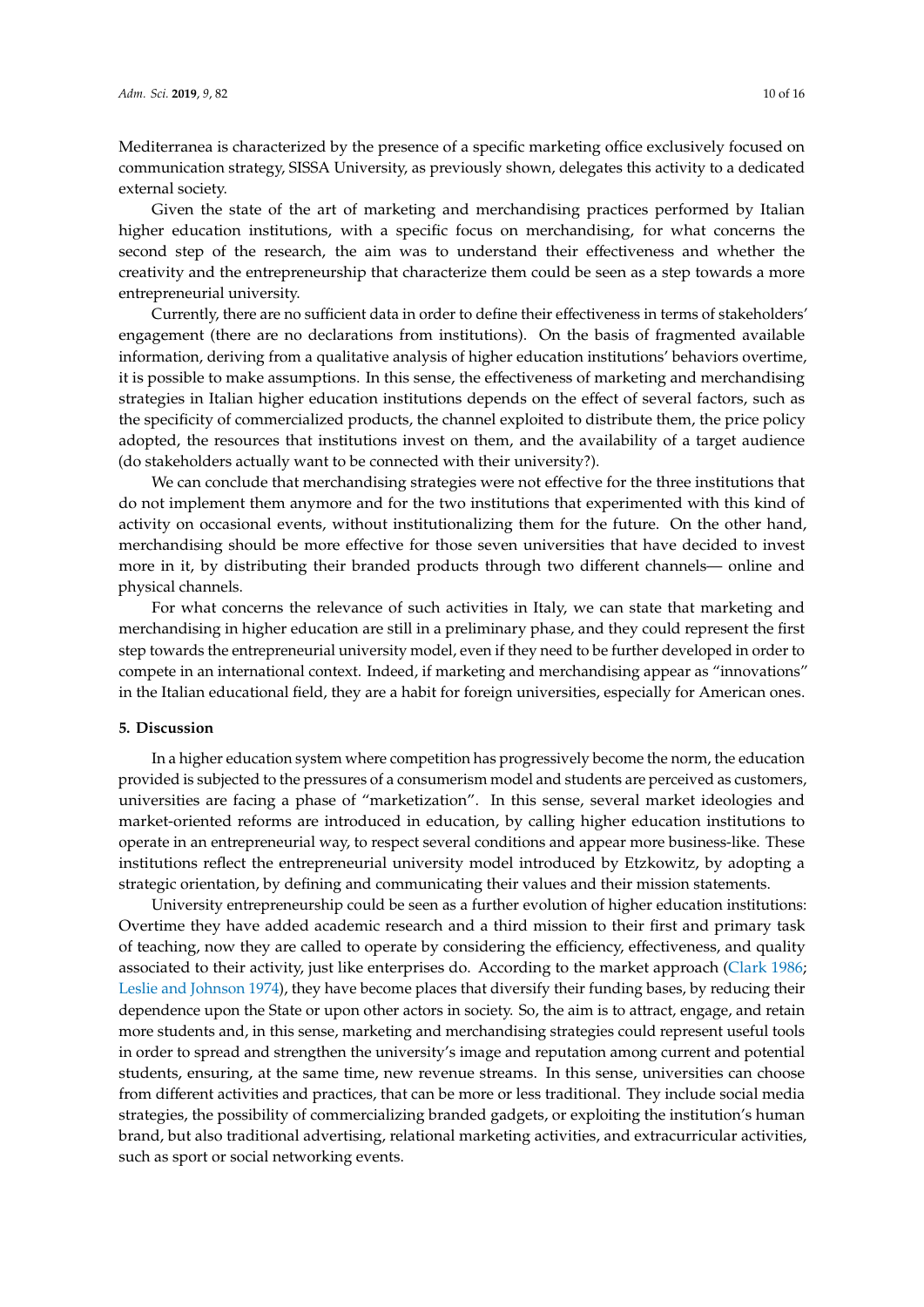Mediterranea is characterized by the presence of a specific marketing office exclusively focused on communication strategy, SISSA University, as previously shown, delegates this activity to a dedicated external society.

Given the state of the art of marketing and merchandising practices performed by Italian higher education institutions, with a specific focus on merchandising, for what concerns the second step of the research, the aim was to understand their effectiveness and whether the creativity and the entrepreneurship that characterize them could be seen as a step towards a more entrepreneurial university.

Currently, there are no sufficient data in order to define their effectiveness in terms of stakeholders' engagement (there are no declarations from institutions). On the basis of fragmented available information, deriving from a qualitative analysis of higher education institutions' behaviors overtime, it is possible to make assumptions. In this sense, the effectiveness of marketing and merchandising strategies in Italian higher education institutions depends on the effect of several factors, such as the specificity of commercialized products, the channel exploited to distribute them, the price policy adopted, the resources that institutions invest on them, and the availability of a target audience (do stakeholders actually want to be connected with their university?).

We can conclude that merchandising strategies were not effective for the three institutions that do not implement them anymore and for the two institutions that experimented with this kind of activity on occasional events, without institutionalizing them for the future. On the other hand, merchandising should be more effective for those seven universities that have decided to invest more in it, by distributing their branded products through two different channels— online and physical channels.

For what concerns the relevance of such activities in Italy, we can state that marketing and merchandising in higher education are still in a preliminary phase, and they could represent the first step towards the entrepreneurial university model, even if they need to be further developed in order to compete in an international context. Indeed, if marketing and merchandising appear as "innovations" in the Italian educational field, they are a habit for foreign universities, especially for American ones.

#### <span id="page-9-0"></span>**5. Discussion**

In a higher education system where competition has progressively become the norm, the education provided is subjected to the pressures of a consumerism model and students are perceived as customers, universities are facing a phase of "marketization". In this sense, several market ideologies and market-oriented reforms are introduced in education, by calling higher education institutions to operate in an entrepreneurial way, to respect several conditions and appear more business-like. These institutions reflect the entrepreneurial university model introduced by Etzkowitz, by adopting a strategic orientation, by defining and communicating their values and their mission statements.

University entrepreneurship could be seen as a further evolution of higher education institutions: Overtime they have added academic research and a third mission to their first and primary task of teaching, now they are called to operate by considering the efficiency, effectiveness, and quality associated to their activity, just like enterprises do. According to the market approach [\(Clark](#page-12-2) [1986;](#page-12-2) [Leslie and Johnson](#page-14-6) [1974\)](#page-14-6), they have become places that diversify their funding bases, by reducing their dependence upon the State or upon other actors in society. So, the aim is to attract, engage, and retain more students and, in this sense, marketing and merchandising strategies could represent useful tools in order to spread and strengthen the university's image and reputation among current and potential students, ensuring, at the same time, new revenue streams. In this sense, universities can choose from different activities and practices, that can be more or less traditional. They include social media strategies, the possibility of commercializing branded gadgets, or exploiting the institution's human brand, but also traditional advertising, relational marketing activities, and extracurricular activities, such as sport or social networking events.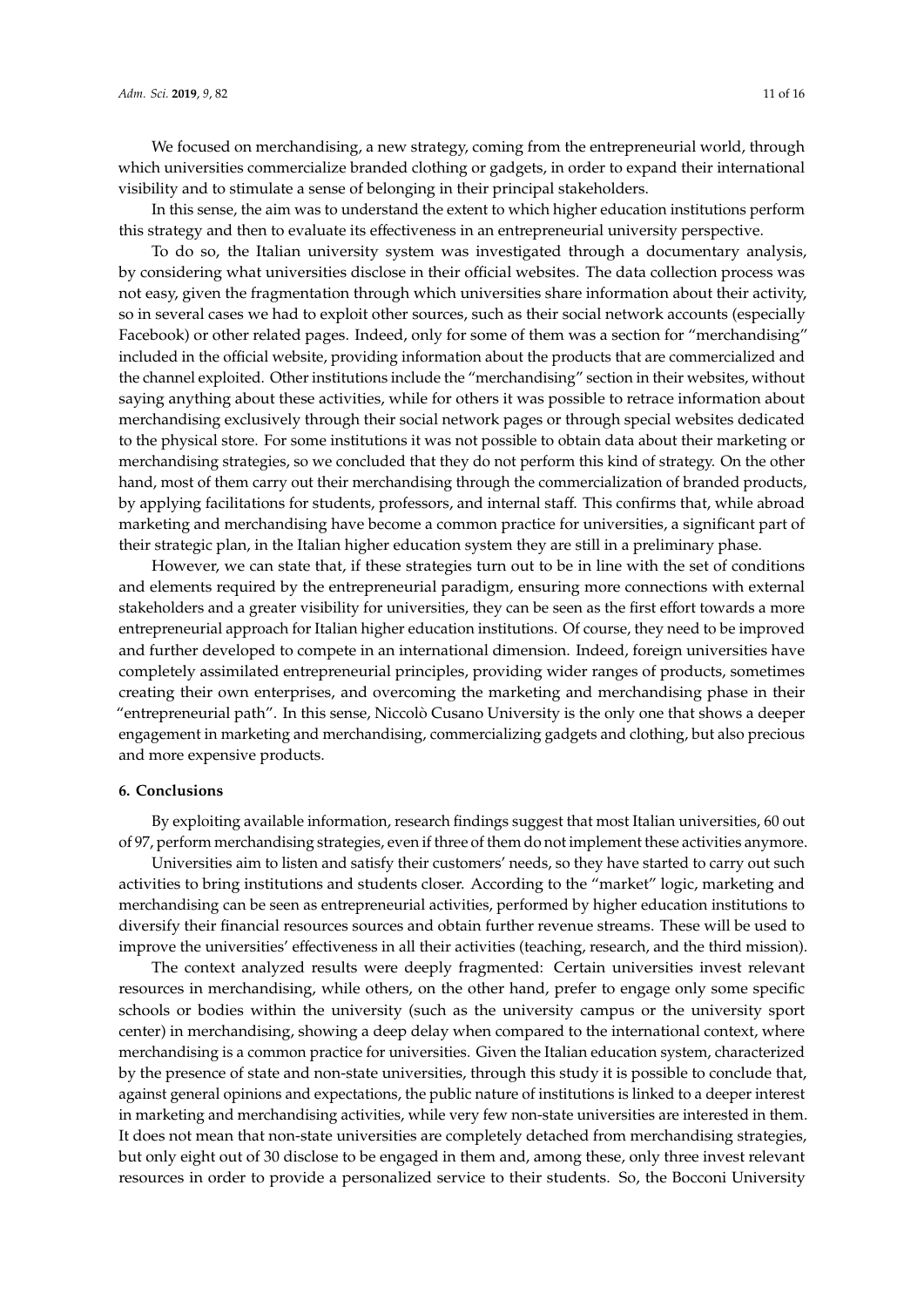We focused on merchandising, a new strategy, coming from the entrepreneurial world, through which universities commercialize branded clothing or gadgets, in order to expand their international visibility and to stimulate a sense of belonging in their principal stakeholders.

In this sense, the aim was to understand the extent to which higher education institutions perform this strategy and then to evaluate its effectiveness in an entrepreneurial university perspective.

To do so, the Italian university system was investigated through a documentary analysis, by considering what universities disclose in their official websites. The data collection process was not easy, given the fragmentation through which universities share information about their activity, so in several cases we had to exploit other sources, such as their social network accounts (especially Facebook) or other related pages. Indeed, only for some of them was a section for "merchandising" included in the official website, providing information about the products that are commercialized and the channel exploited. Other institutions include the "merchandising" section in their websites, without saying anything about these activities, while for others it was possible to retrace information about merchandising exclusively through their social network pages or through special websites dedicated to the physical store. For some institutions it was not possible to obtain data about their marketing or merchandising strategies, so we concluded that they do not perform this kind of strategy. On the other hand, most of them carry out their merchandising through the commercialization of branded products, by applying facilitations for students, professors, and internal staff. This confirms that, while abroad marketing and merchandising have become a common practice for universities, a significant part of their strategic plan, in the Italian higher education system they are still in a preliminary phase.

However, we can state that, if these strategies turn out to be in line with the set of conditions and elements required by the entrepreneurial paradigm, ensuring more connections with external stakeholders and a greater visibility for universities, they can be seen as the first effort towards a more entrepreneurial approach for Italian higher education institutions. Of course, they need to be improved and further developed to compete in an international dimension. Indeed, foreign universities have completely assimilated entrepreneurial principles, providing wider ranges of products, sometimes creating their own enterprises, and overcoming the marketing and merchandising phase in their "entrepreneurial path". In this sense, Niccolò Cusano University is the only one that shows a deeper engagement in marketing and merchandising, commercializing gadgets and clothing, but also precious and more expensive products.

## <span id="page-10-0"></span>**6. Conclusions**

By exploiting available information, research findings suggest that most Italian universities, 60 out of 97, perform merchandising strategies, even if three of them do not implement these activities anymore.

Universities aim to listen and satisfy their customers' needs, so they have started to carry out such activities to bring institutions and students closer. According to the "market" logic, marketing and merchandising can be seen as entrepreneurial activities, performed by higher education institutions to diversify their financial resources sources and obtain further revenue streams. These will be used to improve the universities' effectiveness in all their activities (teaching, research, and the third mission).

The context analyzed results were deeply fragmented: Certain universities invest relevant resources in merchandising, while others, on the other hand, prefer to engage only some specific schools or bodies within the university (such as the university campus or the university sport center) in merchandising, showing a deep delay when compared to the international context, where merchandising is a common practice for universities. Given the Italian education system, characterized by the presence of state and non-state universities, through this study it is possible to conclude that, against general opinions and expectations, the public nature of institutions is linked to a deeper interest in marketing and merchandising activities, while very few non-state universities are interested in them. It does not mean that non-state universities are completely detached from merchandising strategies, but only eight out of 30 disclose to be engaged in them and, among these, only three invest relevant resources in order to provide a personalized service to their students. So, the Bocconi University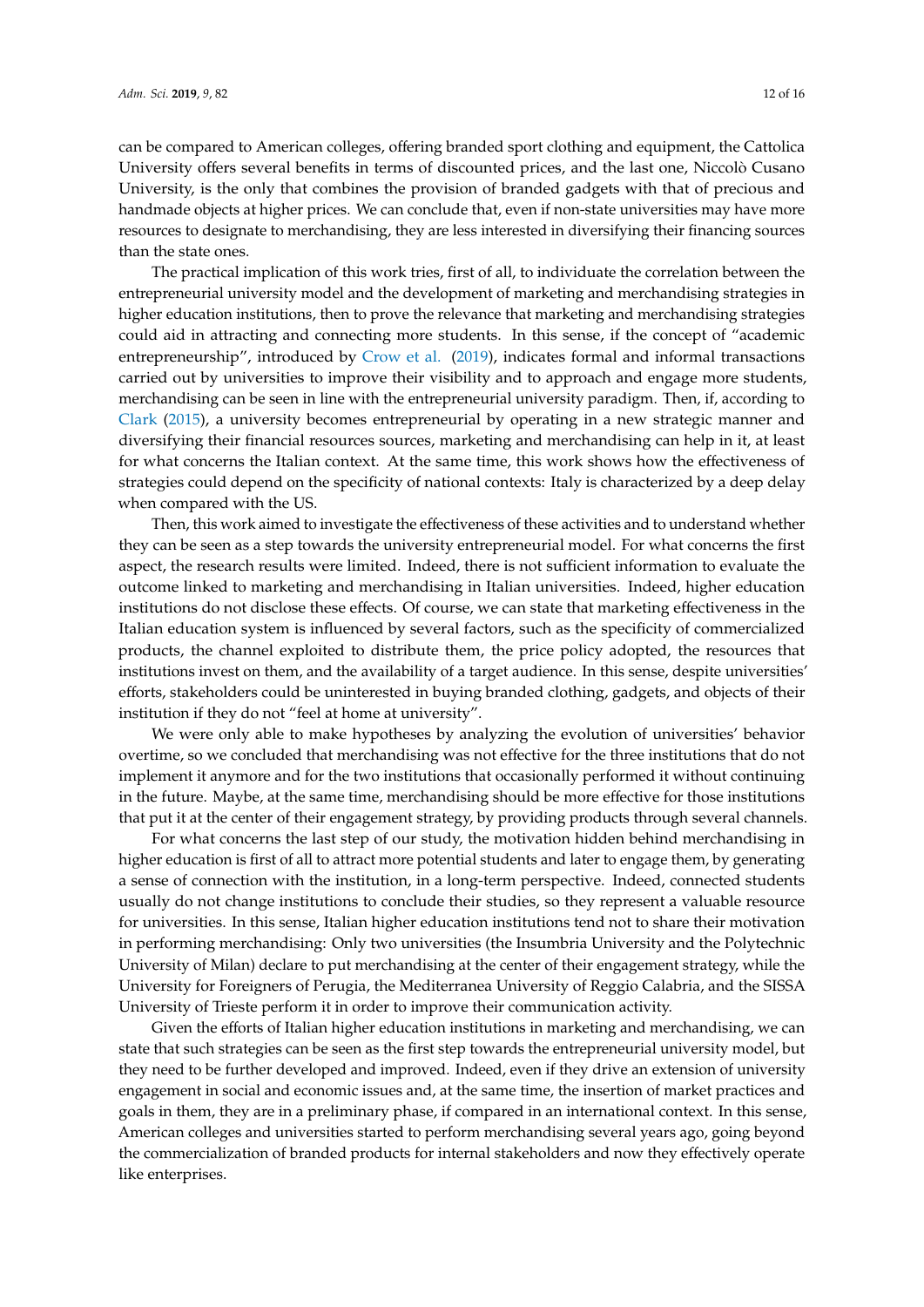can be compared to American colleges, offering branded sport clothing and equipment, the Cattolica University offers several benefits in terms of discounted prices, and the last one, Niccolò Cusano University, is the only that combines the provision of branded gadgets with that of precious and handmade objects at higher prices. We can conclude that, even if non-state universities may have more resources to designate to merchandising, they are less interested in diversifying their financing sources than the state ones.

The practical implication of this work tries, first of all, to individuate the correlation between the entrepreneurial university model and the development of marketing and merchandising strategies in higher education institutions, then to prove the relevance that marketing and merchandising strategies could aid in attracting and connecting more students. In this sense, if the concept of "academic entrepreneurship", introduced by [Crow et al.](#page-13-9) [\(2019\)](#page-13-9), indicates formal and informal transactions carried out by universities to improve their visibility and to approach and engage more students, merchandising can be seen in line with the entrepreneurial university paradigm. Then, if, according to [Clark](#page-13-10) [\(2015\)](#page-13-10), a university becomes entrepreneurial by operating in a new strategic manner and diversifying their financial resources sources, marketing and merchandising can help in it, at least for what concerns the Italian context. At the same time, this work shows how the effectiveness of strategies could depend on the specificity of national contexts: Italy is characterized by a deep delay when compared with the US.

Then, this work aimed to investigate the effectiveness of these activities and to understand whether they can be seen as a step towards the university entrepreneurial model. For what concerns the first aspect, the research results were limited. Indeed, there is not sufficient information to evaluate the outcome linked to marketing and merchandising in Italian universities. Indeed, higher education institutions do not disclose these effects. Of course, we can state that marketing effectiveness in the Italian education system is influenced by several factors, such as the specificity of commercialized products, the channel exploited to distribute them, the price policy adopted, the resources that institutions invest on them, and the availability of a target audience. In this sense, despite universities' efforts, stakeholders could be uninterested in buying branded clothing, gadgets, and objects of their institution if they do not "feel at home at university".

We were only able to make hypotheses by analyzing the evolution of universities' behavior overtime, so we concluded that merchandising was not effective for the three institutions that do not implement it anymore and for the two institutions that occasionally performed it without continuing in the future. Maybe, at the same time, merchandising should be more effective for those institutions that put it at the center of their engagement strategy, by providing products through several channels.

For what concerns the last step of our study, the motivation hidden behind merchandising in higher education is first of all to attract more potential students and later to engage them, by generating a sense of connection with the institution, in a long-term perspective. Indeed, connected students usually do not change institutions to conclude their studies, so they represent a valuable resource for universities. In this sense, Italian higher education institutions tend not to share their motivation in performing merchandising: Only two universities (the Insumbria University and the Polytechnic University of Milan) declare to put merchandising at the center of their engagement strategy, while the University for Foreigners of Perugia, the Mediterranea University of Reggio Calabria, and the SISSA University of Trieste perform it in order to improve their communication activity.

Given the efforts of Italian higher education institutions in marketing and merchandising, we can state that such strategies can be seen as the first step towards the entrepreneurial university model, but they need to be further developed and improved. Indeed, even if they drive an extension of university engagement in social and economic issues and, at the same time, the insertion of market practices and goals in them, they are in a preliminary phase, if compared in an international context. In this sense, American colleges and universities started to perform merchandising several years ago, going beyond the commercialization of branded products for internal stakeholders and now they effectively operate like enterprises.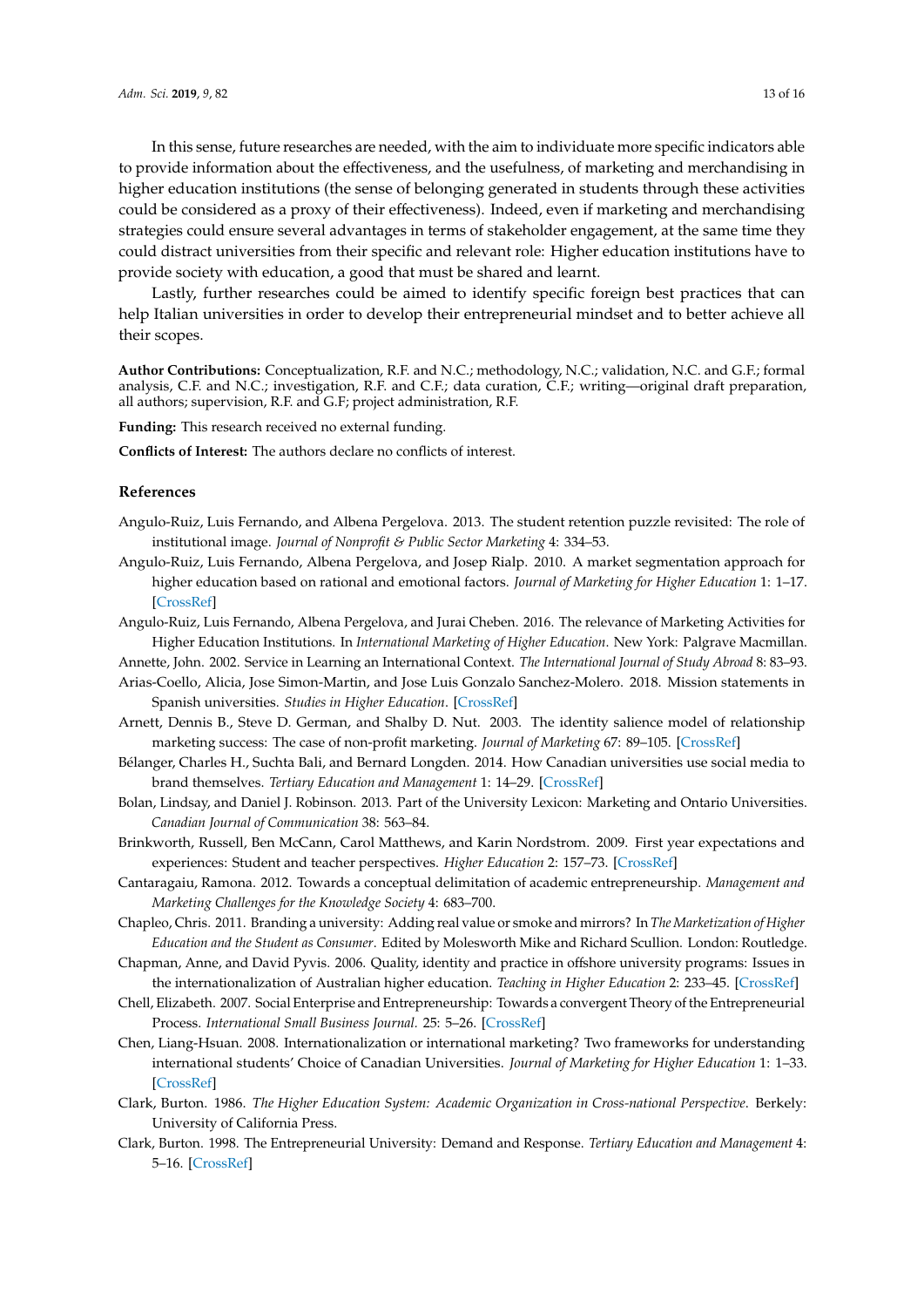In this sense, future researches are needed, with the aim to individuate more specific indicators able to provide information about the effectiveness, and the usefulness, of marketing and merchandising in higher education institutions (the sense of belonging generated in students through these activities could be considered as a proxy of their effectiveness). Indeed, even if marketing and merchandising strategies could ensure several advantages in terms of stakeholder engagement, at the same time they could distract universities from their specific and relevant role: Higher education institutions have to provide society with education, a good that must be shared and learnt.

Lastly, further researches could be aimed to identify specific foreign best practices that can help Italian universities in order to develop their entrepreneurial mindset and to better achieve all their scopes.

**Author Contributions:** Conceptualization, R.F. and N.C.; methodology, N.C.; validation, N.C. and G.F.; formal analysis, C.F. and N.C.; investigation, R.F. and C.F.; data curation, C.F.; writing—original draft preparation, all authors; supervision, R.F. and G.F; project administration, R.F.

**Funding:** This research received no external funding.

**Conflicts of Interest:** The authors declare no conflicts of interest.

## **References**

- <span id="page-12-12"></span>Angulo-Ruiz, Luis Fernando, and Albena Pergelova. 2013. The student retention puzzle revisited: The role of institutional image. *Journal of Nonprofit & Public Sector Marketing* 4: 334–53.
- <span id="page-12-5"></span>Angulo-Ruiz, Luis Fernando, Albena Pergelova, and Josep Rialp. 2010. A market segmentation approach for higher education based on rational and emotional factors. *Journal of Marketing for Higher Education* 1: 1–17. [\[CrossRef\]](http://dx.doi.org/10.1080/08841241003788029)
- <span id="page-12-6"></span>Angulo-Ruiz, Luis Fernando, Albena Pergelova, and Jurai Cheben. 2016. The relevance of Marketing Activities for Higher Education Institutions. In *International Marketing of Higher Education*. New York: Palgrave Macmillan.
- <span id="page-12-0"></span>Annette, John. 2002. Service in Learning an International Context. *The International Journal of Study Abroad* 8: 83–93.
- <span id="page-12-15"></span>Arias-Coello, Alicia, Jose Simon-Martin, and Jose Luis Gonzalo Sanchez-Molero. 2018. Mission statements in Spanish universities. *Studies in Higher Education*. [\[CrossRef\]](http://dx.doi.org/10.1080/03075079.2018.1512569)
- <span id="page-12-11"></span>Arnett, Dennis B., Steve D. German, and Shalby D. Nut. 2003. The identity salience model of relationship marketing success: The case of non-profit marketing. *Journal of Marketing* 67: 89–105. [\[CrossRef\]](http://dx.doi.org/10.1509/jmkg.67.2.89.18614)
- <span id="page-12-9"></span>Bélanger, Charles H., Suchta Bali, and Bernard Longden. 2014. How Canadian universities use social media to brand themselves. *Tertiary Education and Management* 1: 14–29. [\[CrossRef\]](http://dx.doi.org/10.1080/13583883.2013.852237)
- <span id="page-12-7"></span>Bolan, Lindsay, and Daniel J. Robinson. 2013. Part of the University Lexicon: Marketing and Ontario Universities. *Canadian Journal of Communication* 38: 563–84.
- <span id="page-12-14"></span>Brinkworth, Russell, Ben McCann, Carol Matthews, and Karin Nordstrom. 2009. First year expectations and experiences: Student and teacher perspectives. *Higher Education* 2: 157–73. [\[CrossRef\]](http://dx.doi.org/10.1007/s10734-008-9188-3)
- <span id="page-12-3"></span>Cantaragaiu, Ramona. 2012. Towards a conceptual delimitation of academic entrepreneurship. *Management and Marketing Challenges for the Knowledge Society* 4: 683–700.
- <span id="page-12-10"></span>Chapleo, Chris. 2011. Branding a university: Adding real value or smoke and mirrors? In *The Marketization of Higher Education and the Student as Consumer*. Edited by Molesworth Mike and Richard Scullion. London: Routledge.
- <span id="page-12-13"></span>Chapman, Anne, and David Pyvis. 2006. Quality, identity and practice in offshore university programs: Issues in the internationalization of Australian higher education. *Teaching in Higher Education* 2: 233–45. [\[CrossRef\]](http://dx.doi.org/10.1080/13562510500527818)
- <span id="page-12-4"></span>Chell, Elizabeth. 2007. Social Enterprise and Entrepreneurship: Towards a convergent Theory of the Entrepreneurial Process. *International Small Business Journal.* 25: 5–26. [\[CrossRef\]](http://dx.doi.org/10.1177/0266242607071779)
- <span id="page-12-8"></span>Chen, Liang-Hsuan. 2008. Internationalization or international marketing? Two frameworks for understanding international students' Choice of Canadian Universities. *Journal of Marketing for Higher Education* 1: 1–33. [\[CrossRef\]](http://dx.doi.org/10.1080/08841240802100113)
- <span id="page-12-2"></span>Clark, Burton. 1986. *The Higher Education System: Academic Organization in Cross-national Perspective*. Berkely: University of California Press.
- <span id="page-12-1"></span>Clark, Burton. 1998. The Entrepreneurial University: Demand and Response. *Tertiary Education and Management* 4: 5–16. [\[CrossRef\]](http://dx.doi.org/10.1080/13583883.1998.9966941)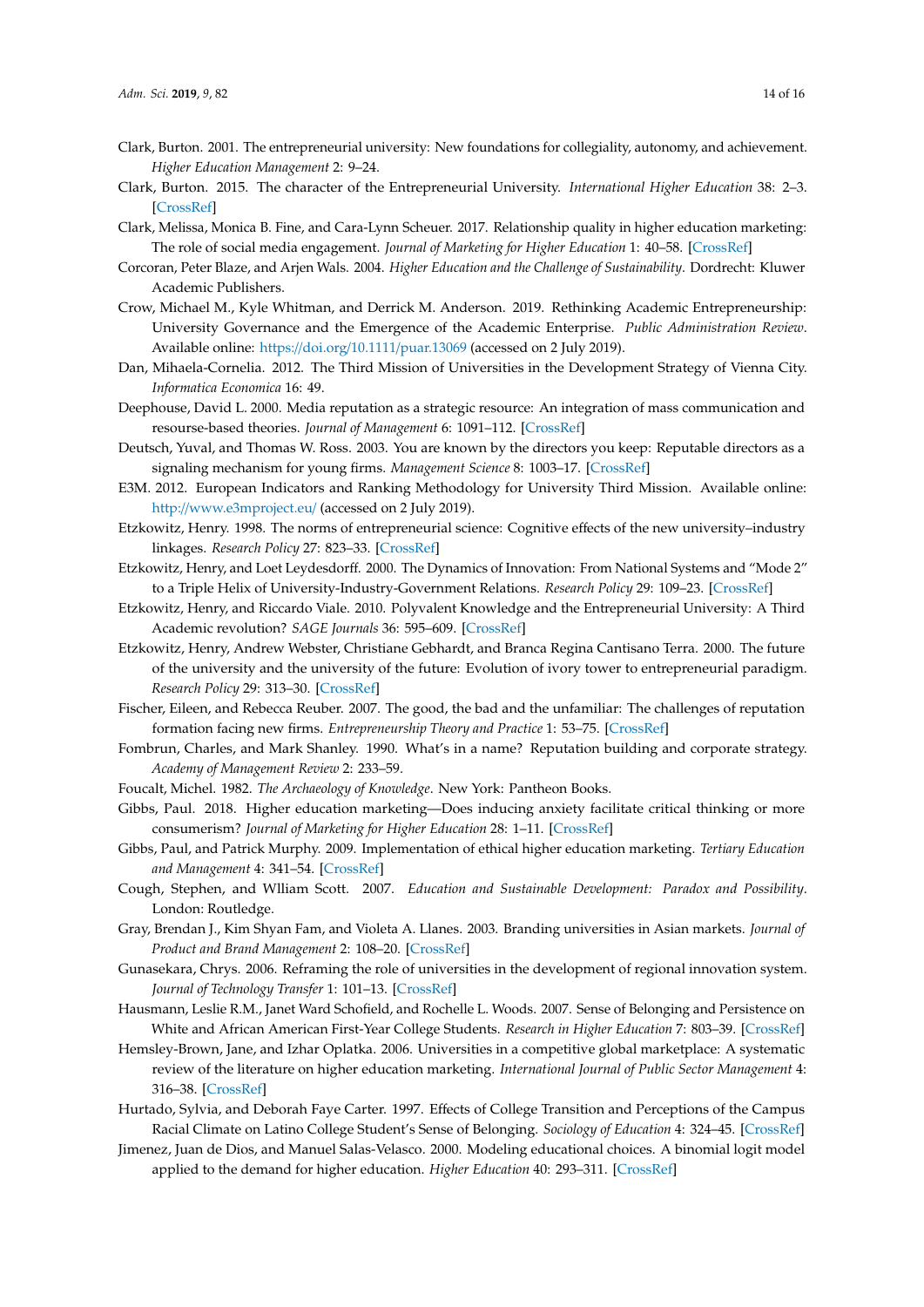- <span id="page-13-7"></span>Clark, Burton. 2001. The entrepreneurial university: New foundations for collegiality, autonomy, and achievement. *Higher Education Management* 2: 9–24.
- <span id="page-13-10"></span>Clark, Burton. 2015. The character of the Entrepreneurial University. *International Higher Education* 38: 2–3. [\[CrossRef\]](http://dx.doi.org/10.6017/ihe.2005.38.7456)
- <span id="page-13-16"></span>Clark, Melissa, Monica B. Fine, and Cara-Lynn Scheuer. 2017. Relationship quality in higher education marketing: The role of social media engagement. *Journal of Marketing for Higher Education* 1: 40–58. [\[CrossRef\]](http://dx.doi.org/10.1080/08841241.2016.1269036)
- <span id="page-13-3"></span>Corcoran, Peter Blaze, and Arjen Wals. 2004. *Higher Education and the Challenge of Sustainability*. Dordrecht: Kluwer Academic Publishers.
- <span id="page-13-9"></span>Crow, Michael M., Kyle Whitman, and Derrick M. Anderson. 2019. Rethinking Academic Entrepreneurship: University Governance and the Emergence of the Academic Enterprise. *Public Administration Review*. Available online: https://doi.org/10.1111/[puar.13069](https://doi.org/10.1111/puar.13069) (accessed on 2 July 2019).
- <span id="page-13-12"></span>Dan, Mihaela-Cornelia. 2012. The Third Mission of Universities in the Development Strategy of Vienna City. *Informatica Economica* 16: 49.
- <span id="page-13-17"></span>Deephouse, David L. 2000. Media reputation as a strategic resource: An integration of mass communication and resourse-based theories. *Journal of Management* 6: 1091–112. [\[CrossRef\]](http://dx.doi.org/10.1177/014920630002600602)
- <span id="page-13-19"></span>Deutsch, Yuval, and Thomas W. Ross. 2003. You are known by the directors you keep: Reputable directors as a signaling mechanism for young firms. *Management Science* 8: 1003–17. [\[CrossRef\]](http://dx.doi.org/10.1287/mnsc.49.8.1003.16399)
- <span id="page-13-2"></span>E3M. 2012. European Indicators and Ranking Methodology for University Third Mission. Available online: http://[www.e3mproject.eu](http://www.e3mproject.eu/)/ (accessed on 2 July 2019).
- <span id="page-13-1"></span>Etzkowitz, Henry. 1998. The norms of entrepreneurial science: Cognitive effects of the new university–industry linkages. *Research Policy* 27: 823–33. [\[CrossRef\]](http://dx.doi.org/10.1016/S0048-7333(98)00093-6)
- <span id="page-13-6"></span>Etzkowitz, Henry, and Loet Leydesdorff. 2000. The Dynamics of Innovation: From National Systems and "Mode 2" to a Triple Helix of University-Industry-Government Relations. *Research Policy* 29: 109–23. [\[CrossRef\]](http://dx.doi.org/10.1016/S0048-7333(99)00055-4)
- <span id="page-13-11"></span>Etzkowitz, Henry, and Riccardo Viale. 2010. Polyvalent Knowledge and the Entrepreneurial University: A Third Academic revolution? *SAGE Journals* 36: 595–609. [\[CrossRef\]](http://dx.doi.org/10.1177/0896920510365921)
- <span id="page-13-0"></span>Etzkowitz, Henry, Andrew Webster, Christiane Gebhardt, and Branca Regina Cantisano Terra. 2000. The future of the university and the university of the future: Evolution of ivory tower to entrepreneurial paradigm. *Research Policy* 29: 313–30. [\[CrossRef\]](http://dx.doi.org/10.1016/S0048-7333(99)00069-4)
- <span id="page-13-18"></span>Fischer, Eileen, and Rebecca Reuber. 2007. The good, the bad and the unfamiliar: The challenges of reputation formation facing new firms. *Entrepreneurship Theory and Practice* 1: 53–75. [\[CrossRef\]](http://dx.doi.org/10.1111/j.1540-6520.2007.00163.x)
- <span id="page-13-20"></span>Fombrun, Charles, and Mark Shanley. 1990. What's in a name? Reputation building and corporate strategy. *Academy of Management Review* 2: 233–59.
- <span id="page-13-24"></span>Foucalt, Michel. 1982. *The Archaeology of Knowledge*. New York: Pantheon Books.
- <span id="page-13-23"></span>Gibbs, Paul. 2018. Higher education marketing—Does inducing anxiety facilitate critical thinking or more consumerism? *Journal of Marketing for Higher Education* 28: 1–11. [\[CrossRef\]](http://dx.doi.org/10.1080/08841241.2017.1311979)
- <span id="page-13-5"></span>Gibbs, Paul, and Patrick Murphy. 2009. Implementation of ethical higher education marketing. *Tertiary Education and Management* 4: 341–54. [\[CrossRef\]](http://dx.doi.org/10.1080/13583880903335472)
- <span id="page-13-4"></span>Cough, Stephen, and Wlliam Scott. 2007. *Education and Sustainable Development: Paradox and Possibility*. London: Routledge.
- <span id="page-13-21"></span>Gray, Brendan J., Kim Shyan Fam, and Violeta A. Llanes. 2003. Branding universities in Asian markets. *Journal of Product and Brand Management* 2: 108–20. [\[CrossRef\]](http://dx.doi.org/10.1108/10610420310469797)
- <span id="page-13-8"></span>Gunasekara, Chrys. 2006. Reframing the role of universities in the development of regional innovation system. *Journal of Technology Transfer* 1: 101–13. [\[CrossRef\]](http://dx.doi.org/10.1007/s10961-005-5016-4)
- <span id="page-13-13"></span>Hausmann, Leslie R.M., Janet Ward Schofield, and Rochelle L. Woods. 2007. Sense of Belonging and Persistence on White and African American First-Year College Students. *Research in Higher Education* 7: 803–39. [\[CrossRef\]](http://dx.doi.org/10.1007/s11162-007-9052-9)
- <span id="page-13-15"></span>Hemsley-Brown, Jane, and Izhar Oplatka. 2006. Universities in a competitive global marketplace: A systematic review of the literature on higher education marketing. *International Journal of Public Sector Management* 4: 316–38. [\[CrossRef\]](http://dx.doi.org/10.1108/09513550610669176)
- <span id="page-13-14"></span>Hurtado, Sylvia, and Deborah Faye Carter. 1997. Effects of College Transition and Perceptions of the Campus Racial Climate on Latino College Student's Sense of Belonging. *Sociology of Education* 4: 324–45. [\[CrossRef\]](http://dx.doi.org/10.2307/2673270)
- <span id="page-13-22"></span>Jimenez, Juan de Dios, and Manuel Salas-Velasco. 2000. Modeling educational choices. A binomial logit model applied to the demand for higher education. *Higher Education* 40: 293–311. [\[CrossRef\]](http://dx.doi.org/10.1023/A:1004098300436)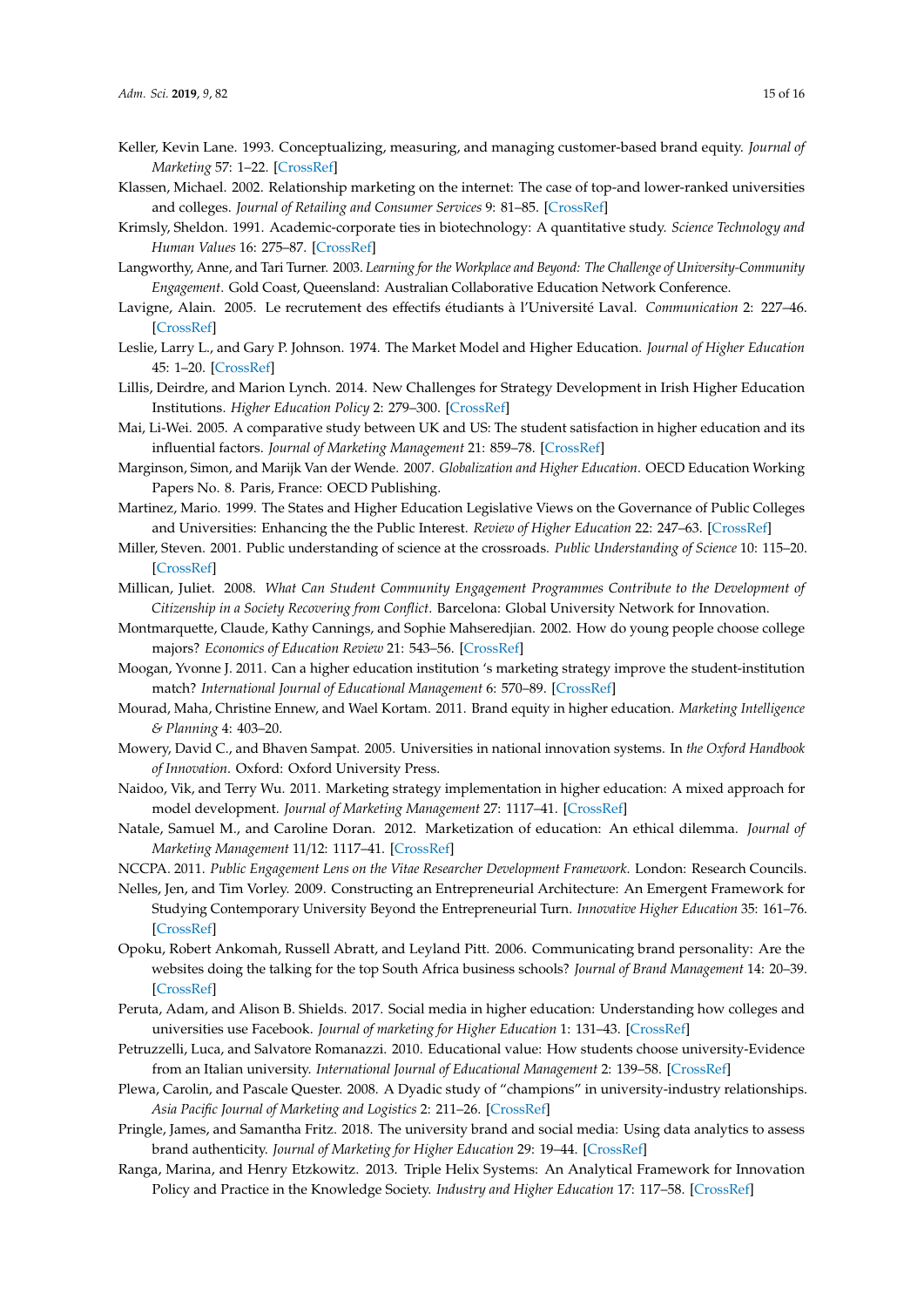- <span id="page-14-19"></span>Keller, Kevin Lane. 1993. Conceptualizing, measuring, and managing customer-based brand equity. *Journal of Marketing* 57: 1–22. [\[CrossRef\]](http://dx.doi.org/10.1177/002224299305700101)
- <span id="page-14-21"></span>Klassen, Michael. 2002. Relationship marketing on the internet: The case of top-and lower-ranked universities and colleges. *Journal of Retailing and Consumer Services* 9: 81–85. [\[CrossRef\]](http://dx.doi.org/10.1016/S0969-6989(01)00028-5)
- <span id="page-14-8"></span>Krimsly, Sheldon. 1991. Academic-corporate ties in biotechnology: A quantitative study. *Science Technology and Human Values* 16: 275–87. [\[CrossRef\]](http://dx.doi.org/10.1177/016224399101600301)
- <span id="page-14-4"></span>Langworthy, Anne, and Tari Turner. 2003. *Learning for the Workplace and Beyond: The Challenge of University-Community Engagement*. Gold Coast, Queensland: Australian Collaborative Education Network Conference.
- <span id="page-14-15"></span>Lavigne, Alain. 2005. Le recrutement des effectifs étudiants à l'Université Laval. *Communication* 2: 227–46. [\[CrossRef\]](http://dx.doi.org/10.4000/communication.4161)
- <span id="page-14-6"></span>Leslie, Larry L., and Gary P. Johnson. 1974. The Market Model and Higher Education. *Journal of Higher Education* 45: 1–20. [\[CrossRef\]](http://dx.doi.org/10.2307/1980645)
- <span id="page-14-25"></span>Lillis, Deirdre, and Marion Lynch. 2014. New Challenges for Strategy Development in Irish Higher Education Institutions. *Higher Education Policy* 2: 279–300. [\[CrossRef\]](http://dx.doi.org/10.1057/hep.2013.23)
- <span id="page-14-23"></span>Mai, Li-Wei. 2005. A comparative study between UK and US: The student satisfaction in higher education and its influential factors. *Journal of Marketing Management* 21: 859–78. [\[CrossRef\]](http://dx.doi.org/10.1362/026725705774538471)
- <span id="page-14-11"></span>Marginson, Simon, and Marijk Van der Wende. 2007. *Globalization and Higher Education*. OECD Education Working Papers No. 8. Paris, France: OECD Publishing.
- <span id="page-14-7"></span>Martinez, Mario. 1999. The States and Higher Education Legislative Views on the Governance of Public Colleges and Universities: Enhancing the the Public Interest. *Review of Higher Education* 22: 247–63. [\[CrossRef\]](http://dx.doi.org/10.1353/rhe.1999.0012)
- <span id="page-14-9"></span>Miller, Steven. 2001. Public understanding of science at the crossroads. *Public Understanding of Science* 10: 115–20. [\[CrossRef\]](http://dx.doi.org/10.1088/0963-6625/10/1/308)
- <span id="page-14-3"></span>Millican, Juliet. 2008. *What Can Student Community Engagement Programmes Contribute to the Development of Citizenship in a Society Recovering from Conflict*. Barcelona: Global University Network for Innovation.
- <span id="page-14-24"></span>Montmarquette, Claude, Kathy Cannings, and Sophie Mahseredjian. 2002. How do young people choose college majors? *Economics of Education Review* 21: 543–56. [\[CrossRef\]](http://dx.doi.org/10.1016/S0272-7757(01)00054-1)
- <span id="page-14-20"></span>Moogan, Yvonne J. 2011. Can a higher education institution 's marketing strategy improve the student-institution match? *International Journal of Educational Management* 6: 570–89. [\[CrossRef\]](http://dx.doi.org/10.1108/09513541111159068)
- <span id="page-14-13"></span>Mourad, Maha, Christine Ennew, and Wael Kortam. 2011. Brand equity in higher education. *Marketing Intelligence & Planning* 4: 403–20.
- <span id="page-14-1"></span>Mowery, David C., and Bhaven Sampat. 2005. Universities in national innovation systems. In *the Oxford Handbook of Innovation*. Oxford: Oxford University Press.
- <span id="page-14-14"></span>Naidoo, Vik, and Terry Wu. 2011. Marketing strategy implementation in higher education: A mixed approach for model development. *Journal of Marketing Management* 27: 1117–41. [\[CrossRef\]](http://dx.doi.org/10.1080/0267257X.2011.609132)
- <span id="page-14-12"></span>Natale, Samuel M., and Caroline Doran. 2012. Marketization of education: An ethical dilemma. *Journal of Marketing Management* 11/12: 1117–41. [\[CrossRef\]](http://dx.doi.org/10.1007/s10551-011-0958-y)
- <span id="page-14-2"></span>NCCPA. 2011. *Public Engagement Lens on the Vitae Researcher Development Framework*. London: Research Councils.
- <span id="page-14-10"></span>Nelles, Jen, and Tim Vorley. 2009. Constructing an Entrepreneurial Architecture: An Emergent Framework for Studying Contemporary University Beyond the Entrepreneurial Turn. *Innovative Higher Education* 35: 161–76. [\[CrossRef\]](http://dx.doi.org/10.1007/s10755-009-9130-3)
- <span id="page-14-18"></span>Opoku, Robert Ankomah, Russell Abratt, and Leyland Pitt. 2006. Communicating brand personality: Are the websites doing the talking for the top South Africa business schools? *Journal of Brand Management* 14: 20–39. [\[CrossRef\]](http://dx.doi.org/10.1057/palgrave.bm.2550052)
- <span id="page-14-17"></span>Peruta, Adam, and Alison B. Shields. 2017. Social media in higher education: Understanding how colleges and universities use Facebook. *Journal of marketing for Higher Education* 1: 131–43. [\[CrossRef\]](http://dx.doi.org/10.1080/08841241.2016.1212451)
- <span id="page-14-22"></span>Petruzzelli, Luca, and Salvatore Romanazzi. 2010. Educational value: How students choose university-Evidence from an Italian university. *International Journal of Educational Management* 2: 139–58. [\[CrossRef\]](http://dx.doi.org/10.1108/09513541011020954)
- <span id="page-14-0"></span>Plewa, Carolin, and Pascale Quester. 2008. A Dyadic study of "champions" in university-industry relationships. *Asia Pacific Journal of Marketing and Logistics* 2: 211–26. [\[CrossRef\]](http://dx.doi.org/10.1108/13555850810864560)
- <span id="page-14-16"></span>Pringle, James, and Samantha Fritz. 2018. The university brand and social media: Using data analytics to assess brand authenticity. *Journal of Marketing for Higher Education* 29: 19–44. [\[CrossRef\]](http://dx.doi.org/10.1080/08841241.2018.1486345)
- <span id="page-14-5"></span>Ranga, Marina, and Henry Etzkowitz. 2013. Triple Helix Systems: An Analytical Framework for Innovation Policy and Practice in the Knowledge Society. *Industry and Higher Education* 17: 117–58. [\[CrossRef\]](http://dx.doi.org/10.5367/ihe.2013.0165)